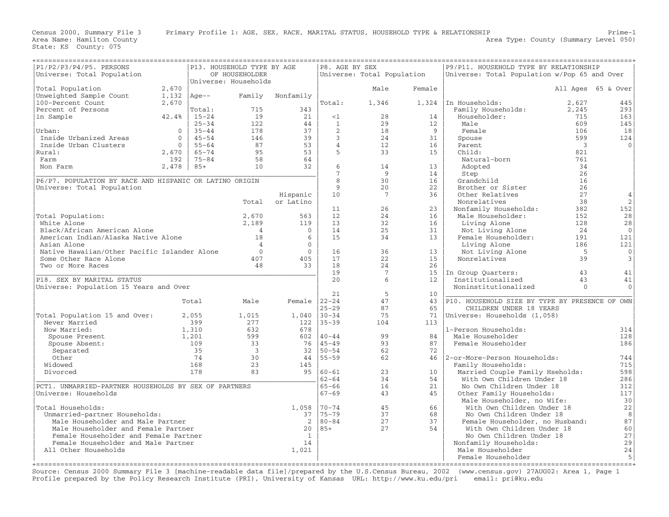|                                                         |                |               |                                                       | ====================                                                         |                         |                            |                                       |                                                   |                          |                    |
|---------------------------------------------------------|----------------|---------------|-------------------------------------------------------|------------------------------------------------------------------------------|-------------------------|----------------------------|---------------------------------------|---------------------------------------------------|--------------------------|--------------------|
| P1/P2/P3/P4/P5. PERSONS                                 |                |               | P13. HOUSEHOLD TYPE BY AGE                            |                                                                              | P8. AGE BY SEX          |                            |                                       | P9/P11. HOUSEHOLD TYPE BY RELATIONSHIP            |                          |                    |
| Universe: Total Population                              |                |               | OF HOUSEHOLDER                                        |                                                                              |                         | Universe: Total Population |                                       | Universe: Total Population w/Pop 65 and Over      |                          |                    |
|                                                         |                |               | Universe: Households                                  |                                                                              |                         |                            |                                       |                                                   |                          |                    |
| Total Population                                        | 2,670          |               |                                                       |                                                                              |                         | Male                       | Female                                |                                                   |                          | All Ages 65 & Over |
| Unweighted Sample Count                                 | 1,132   Age--  |               |                                                       | Family Nonfamily                                                             |                         |                            |                                       |                                                   |                          |                    |
| 100-Percent Count                                       | 2,670          |               |                                                       |                                                                              | Total:                  | 1,346                      |                                       | 1,324   In Households:                            | 2,627                    | 445                |
| Percent of Persons                                      |                | Total:        | 715                                                   | 343                                                                          |                         |                            |                                       | Family Households: 2,245                          |                          | 293                |
| in Sample                                               | 42.4%          | $15 - 24$     | 19                                                    |                                                                              | $\leq 1$                | 28                         | 14                                    | Householder:                                      | 715                      | 163                |
|                                                         |                | $25 - 34$     | 122                                                   |                                                                              | $\overline{1}$          | 29                         | 12                                    | Male                                              | 609                      | 145                |
| Urban:                                                  | $\overline{0}$ | $35 - 44$     | 178                                                   |                                                                              | $\overline{2}$          | 18                         | $\overline{9}$                        | Female                                            | 106                      | 18                 |
| Inside Urbanized Areas                                  | $\overline{0}$ | $45 - 54$     | $\begin{array}{c} 178 \\ 146 \\ 87 \\ 95 \end{array}$ |                                                                              | $\overline{\mathbf{3}}$ | 24                         | 31                                    | Spouse                                            | 599                      | 124                |
| Inside Urban Clusters                                   |                | $0   55 - 64$ |                                                       |                                                                              | $\overline{4}$          | 12                         | 16                                    | Parent                                            | $\overline{\phantom{a}}$ | $\Omega$           |
| Rural:                                                  | 2,670          | 65-74         |                                                       | $\begin{bmatrix} 21 \\ 24 \\ 44 \\ 37 \\ 39 \\ 53 \\ 64 \\ 32 \end{bmatrix}$ | $5^{\circ}$             | 33                         | 15                                    | Child:                                            | 821                      |                    |
| Farm                                                    | 192            | $75 - 84$     | $\begin{array}{c} 58 \\ 10 \end{array}$               |                                                                              |                         |                            |                                       | Natural-born                                      | 761                      |                    |
| Non Farm                                                | $2,478$ 85+    |               |                                                       |                                                                              | $6\overline{6}$         | 14                         | 13                                    | Adopted                                           | 34                       |                    |
|                                                         |                |               |                                                       |                                                                              | 7                       | 9                          | 14                                    | Step                                              | 26                       |                    |
| P6/P7. POPULATION BY RACE AND HISPANIC OR LATINO ORIGIN |                |               |                                                       |                                                                              | 8                       | 30                         | 16                                    | Grandchild                                        | 16                       |                    |
| Universe: Total Population                              |                |               |                                                       |                                                                              | 9                       | 20                         | 22                                    | Brother or Sister                                 | 26                       |                    |
|                                                         |                |               |                                                       | Hispanic                                                                     | 10                      | $\overline{7}$             | 36                                    | Other Relatives                                   | 27                       |                    |
|                                                         |                |               | Total                                                 | or Latino                                                                    |                         |                            |                                       | Nonrelatives                                      | 38                       | 2                  |
|                                                         |                |               |                                                       |                                                                              | 11                      | 26                         | 23                                    | Nonfamily Households:                             | 382                      | 152                |
| Total Population:                                       |                |               | 2,670                                                 | 563                                                                          | 12                      | 24                         | 16                                    | Male Householder:                                 | 152                      | 28                 |
| White Alone                                             |                |               | 2,189                                                 | 119                                                                          | 13                      | 32                         | 16                                    | Living Alone                                      | 128                      | 28                 |
| Black/African American Alone                            |                |               | $\begin{array}{c} 4 \\ 18 \end{array}$                | $\overline{0}$                                                               | 14                      | 25                         | 31                                    | Not Living Alone                                  | 24                       | $\overline{0}$     |
| American Indian/Alaska Native Alone                     |                |               |                                                       | 6                                                                            | 15                      | 34                         | 13                                    | Female Householder:                               | 191                      | 121                |
| Asian Alone                                             |                |               | $\overline{4}$                                        | $\Omega$                                                                     |                         |                            |                                       | Living Alone                                      | 186                      | 121                |
| Native Hawaiian/Other Pacific Islander Alone            |                |               | $\Omega$                                              | $\overline{0}$                                                               | 16                      | 36                         | 13                                    | Not Living Alone                                  | $5^{\circ}$              | $\mathbf{0}$       |
| Some Other Race Alone                                   |                |               | 407                                                   | 405                                                                          | 17                      | 22                         | 15                                    | Nonrelatives                                      | 39                       | 3                  |
| Two or More Races                                       |                |               | 48                                                    | 33                                                                           | 18                      | 24                         | 26                                    |                                                   |                          |                    |
|                                                         |                |               |                                                       |                                                                              | 19                      | 7                          |                                       | 15   In Group Quarters:                           | 43                       | 41                 |
| P18. SEX BY MARITAL STATUS                              |                |               |                                                       |                                                                              | 20                      | 6                          | 12                                    | Institutionalized                                 | 43                       | 41                 |
| Universe: Population 15 Years and Over                  |                |               |                                                       |                                                                              |                         |                            |                                       | Noninstitutionalized                              | $\Omega$                 | $\Omega$           |
|                                                         |                |               |                                                       |                                                                              | 21                      | -5                         | 10                                    |                                                   |                          |                    |
|                                                         |                | Total         | Male                                                  | Female $ 22-24 $                                                             |                         | 47                         |                                       | 43 P10. HOUSEHOLD SIZE BY TYPE BY PRESENCE OF OWN |                          |                    |
|                                                         |                |               |                                                       |                                                                              | $25 - 29$               | 87                         | 65                                    | CHILDREN UNDER 18 YEARS                           |                          |                    |
| Total Population 15 and Over:                           |                | 2,055         | 1,015                                                 | $1,040$  30-34                                                               |                         | 75                         |                                       | 71   Universe: Households (1,058)                 |                          |                    |
| Never Married                                           |                | 399           | 277                                                   | $122 \mid 35-39$                                                             |                         | 104                        | 113                                   |                                                   |                          |                    |
| Now Married:                                            |                | 1,310         | 632                                                   | 678                                                                          |                         |                            |                                       | 1-Person Households:                              |                          | 314                |
| Spouse Present                                          |                | 1,201         | 599                                                   |                                                                              | $602 \mid 40 - 44$      | 99                         | 84                                    | Male Householder                                  |                          | 128                |
| Spouse Absent:                                          |                | 109           | 33                                                    | $\begin{array}{c c} 76 & 45-49 \\ 32 & 50-54 \end{array}$                    |                         | 93                         | 87                                    | Female Householder                                |                          | 186                |
| Separated                                               |                | 35            | $\overline{\phantom{a}}$                              |                                                                              |                         | 62                         | 72                                    |                                                   |                          |                    |
| Other                                                   |                | 74            | 30                                                    | $\begin{array}{c c} 44 & 55-59 \\ 145 & 60-61 \end{array}$                   |                         | 62                         |                                       | 46   2-or-More-Person Households:                 |                          | 744                |
| Widowed                                                 |                | 168           | 23                                                    |                                                                              |                         |                            |                                       | Family Households:                                |                          | 715                |
| Divorced                                                |                | 178           | $\frac{25}{83}$                                       |                                                                              |                         | 23                         | 10                                    | Married Couple Family Hseholds:                   |                          | 598                |
|                                                         |                |               |                                                       |                                                                              | $62 - 64$               | 34                         | 54                                    | With Own Children Under 18                        |                          | 286                |
| PCT1. UNMARRIED-PARTNER HOUSEHOLDS BY SEX OF PARTNERS   |                |               |                                                       |                                                                              | $65 - 66$               | 16                         | 21                                    | No Own Children Under 18                          |                          | 312                |
| Universe: Households                                    |                |               |                                                       |                                                                              | $67 - 69$               | 43                         | 45                                    | Other Family Households:                          |                          | 117                |
|                                                         |                |               |                                                       |                                                                              |                         |                            |                                       | Male Householder, no Wife:                        |                          | 30                 |
| Total Households:                                       |                |               |                                                       | 1,058 70-74                                                                  |                         | 45                         | 66                                    | With Own Children Under 18                        |                          | 22<br>8            |
| Unmarried-partner Households:                           |                |               |                                                       |                                                                              | 37   75-79              | $\frac{37}{27}$            | 68                                    | No Own Children Under 18                          |                          |                    |
| Male Householder and Male Partner                       |                |               |                                                       |                                                                              | 2 80-84                 |                            | 37<br>Female Householder, no Husband: |                                                   |                          | 87                 |
| Male Householder and Female Partner                     |                |               |                                                       | 20   85+<br>27<br>54<br>With Own Children Under 18                           |                         |                            | 60                                    |                                                   |                          |                    |
| Female Householder and Female Partner                   |                |               |                                                       | $\overline{1}$                                                               |                         |                            |                                       | No Own Children Under 18                          |                          | 27                 |
| Female Householder and Male Partner                     |                |               |                                                       | 14                                                                           | Nonfamily Households:   |                            |                                       | 29<br>24                                          |                          |                    |
| All Other Households                                    |                |               |                                                       | 1,021                                                                        |                         |                            |                                       | Male Householder                                  |                          |                    |
|                                                         |                |               |                                                       |                                                                              |                         |                            |                                       | Female Householder                                |                          | 5                  |
|                                                         |                |               |                                                       |                                                                              |                         |                            |                                       |                                                   |                          |                    |

Source: Census 2000 Summary File 3 [machine−readable data file]/prepared by the U.S.Census Bureau, 2002 (www.census.gov) 27AUG02: Area 1, Page 1 Profile prepared by the Policy Research Institute (PRI), University of Kansas URL: http://www.ku.edu/pri email: pri@ku.edu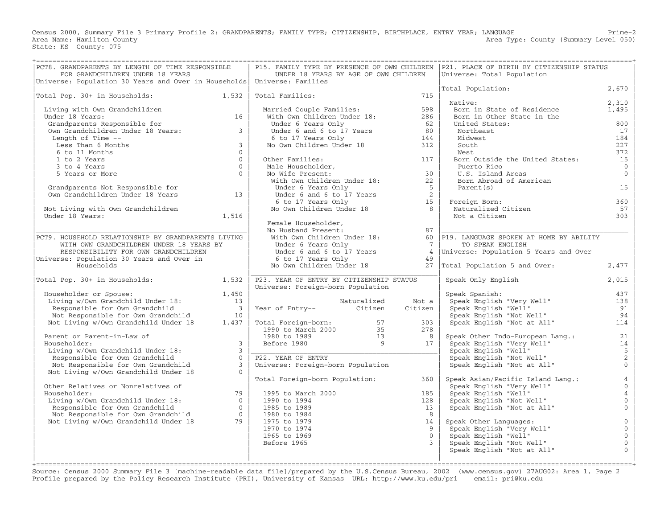Census 2000, Summary File 3 Primary Profile 2: GRANDPARENTS; FAMILY TYPE; CITIZENSHIP, BIRTHPLACE, ENTRY YEAR; LANGUAGE Prime−2 Area Name: Hamilton County (Summary Level 050) (Area Type: County (Summary Level 050) State: KS County: 075

| PCT8. GRANDPARENTS BY LENGTH OF TIME RESPONSIBLE<br>FOR GRANDCHILDREN UNDER 18 YEARS                                                                                                                                                               |                                                | UNDER 18 YEARS BY AGE OF OWN CHILDREN                                                                                                                                                                                                                                                                                 |             |                | P15. FAMILY TYPE BY PRESENCE OF OWN CHILDREN   P21. PLACE OF BIRTH BY CITIZENSHIP STATUS<br>Universe: Total Population |                                  |  |  |
|----------------------------------------------------------------------------------------------------------------------------------------------------------------------------------------------------------------------------------------------------|------------------------------------------------|-----------------------------------------------------------------------------------------------------------------------------------------------------------------------------------------------------------------------------------------------------------------------------------------------------------------------|-------------|----------------|------------------------------------------------------------------------------------------------------------------------|----------------------------------|--|--|
| Universe: Population 30 Years and Over in Households   Universe: Families                                                                                                                                                                          |                                                |                                                                                                                                                                                                                                                                                                                       |             |                | Total Population:                                                                                                      | 2,670                            |  |  |
| Total Pop. 30+ in Households: 1,532                                                                                                                                                                                                                |                                                | Total Families:                                                                                                                                                                                                                                                                                                       |             | 715            |                                                                                                                        |                                  |  |  |
|                                                                                                                                                                                                                                                    |                                                |                                                                                                                                                                                                                                                                                                                       |             |                | Native:                                                                                                                | 2,310                            |  |  |
| Living with Own Grandchildren                                                                                                                                                                                                                      |                                                |                                                                                                                                                                                                                                                                                                                       |             | 598            | Born in State of Residence                                                                                             | 1,495                            |  |  |
| Under 18 Years:<br>Under 18 Years:<br>Grandparents Responsible for the Canadian Common Canadian Common State of the Common State of the Common State of the Common State of the Common State of the Common State of the Common State of the Common |                                                | Married Couple Families:<br>With Own Children Under 18:                                                                                                                                                                                                                                                               |             | 286            | Born in Other State in the                                                                                             |                                  |  |  |
|                                                                                                                                                                                                                                                    |                                                | Under 6 Years Only                                                                                                                                                                                                                                                                                                    |             | 62             | United States:                                                                                                         | 800                              |  |  |
|                                                                                                                                                                                                                                                    |                                                |                                                                                                                                                                                                                                                                                                                       |             | 80             | Northeast                                                                                                              | 17                               |  |  |
| Length of Time --                                                                                                                                                                                                                                  |                                                |                                                                                                                                                                                                                                                                                                                       |             | 144            | Midwest                                                                                                                | 184                              |  |  |
| Less Than 6 Months                                                                                                                                                                                                                                 | $\overline{\mathbf{3}}$                        | Under 6 and 6 to 17 Years<br>6 to 17 Years Only<br>No Own Children Under 18                                                                                                                                                                                                                                           |             | 312            | South                                                                                                                  | 227                              |  |  |
| 6 to 11 Months                                                                                                                                                                                                                                     | $\Omega$                                       |                                                                                                                                                                                                                                                                                                                       |             |                | West                                                                                                                   | 372                              |  |  |
| 1 to 2 Years                                                                                                                                                                                                                                       | $\Omega$                                       | Other Families:<br>Other Families:<br>Male Householder,<br>No Wife Present:<br>With Own Children Under 18:                                                                                                                                                                                                            |             | 117            | Born Outside the United States:                                                                                        | 15                               |  |  |
| 3 to 4 Years<br>5 Years or More                                                                                                                                                                                                                    | $\overline{0}$<br>$\bigcirc$                   |                                                                                                                                                                                                                                                                                                                       |             | 30             | Puerto Rico<br>U.S. Island Areas                                                                                       | $\overline{0}$<br>$\overline{0}$ |  |  |
|                                                                                                                                                                                                                                                    |                                                |                                                                                                                                                                                                                                                                                                                       |             | 22             | U.S. Island Areas<br>Born Abroad of American                                                                           |                                  |  |  |
|                                                                                                                                                                                                                                                    |                                                | Under 6 Years Only                                                                                                                                                                                                                                                                                                    |             | 5 <sub>5</sub> | Parent (s)                                                                                                             | 15                               |  |  |
| Grandparents Not Responsible for<br>Own Grandchildren Under 18 Years 13                                                                                                                                                                            |                                                | Under 6 and 6 to 17 Years<br>5 b to 17 Years Only<br>5 6 to 17 Years Only<br>No Own Children Under 18                                                                                                                                                                                                                 |             |                |                                                                                                                        |                                  |  |  |
|                                                                                                                                                                                                                                                    |                                                |                                                                                                                                                                                                                                                                                                                       |             |                |                                                                                                                        | 360                              |  |  |
| Not Living with Own Grandchildren                                                                                                                                                                                                                  |                                                |                                                                                                                                                                                                                                                                                                                       |             |                | Foreign Born:<br>Naturalized Citizen                                                                                   | 57                               |  |  |
| Under 18 Years:                                                                                                                                                                                                                                    | 1,516                                          |                                                                                                                                                                                                                                                                                                                       |             |                | Not a Citizen                                                                                                          | 303                              |  |  |
|                                                                                                                                                                                                                                                    |                                                | Female Householder,                                                                                                                                                                                                                                                                                                   |             |                |                                                                                                                        |                                  |  |  |
|                                                                                                                                                                                                                                                    |                                                | No Husband Present:                                                                                                                                                                                                                                                                                                   |             | 87             |                                                                                                                        |                                  |  |  |
| PCT9. HOUSEHOLD RELATIONSHIP BY GRANDPARENTS LIVING                                                                                                                                                                                                |                                                | No Husband riesenc.<br>With Own Children Under 18:                                                                                                                                                                                                                                                                    |             |                | 60 P19. LANGUAGE SPOKEN AT HOME BY ABILITY                                                                             |                                  |  |  |
| WITH OWN GRANDCHILDREN UNDER 18 YEARS BY                                                                                                                                                                                                           |                                                | Under 6 Years Only                                                                                                                                                                                                                                                                                                    |             | $\overline{7}$ | TO SPEAK ENGLISH                                                                                                       |                                  |  |  |
| RESPONSIBILITY FOR OWN GRANDCHILDREN                                                                                                                                                                                                               |                                                | $\frac{1}{2}$ of $\frac{1}{2}$ only $\frac{1}{2}$ $\frac{1}{2}$ $\frac{1}{2}$ $\frac{1}{2}$ $\frac{1}{2}$ $\frac{1}{2}$ $\frac{1}{2}$ $\frac{1}{2}$ $\frac{1}{2}$ $\frac{1}{2}$ $\frac{1}{2}$ $\frac{1}{2}$ $\frac{1}{2}$ $\frac{1}{2}$ $\frac{1}{2}$ $\frac{1}{2}$ $\frac{1}{2}$ $\frac{1}{2}$ $\frac{1}{2}$ $\frac$ |             | $\overline{4}$ | Universe: Population 5 Years and Over                                                                                  |                                  |  |  |
| Universe: Population 30 Years and Over in                                                                                                                                                                                                          |                                                | 6 to 17 Years Only                                                                                                                                                                                                                                                                                                    |             | 49             |                                                                                                                        |                                  |  |  |
| Households                                                                                                                                                                                                                                         |                                                | No Own Children Under 18                                                                                                                                                                                                                                                                                              |             | 27             | Total Population 5 and Over:                                                                                           | 2,477                            |  |  |
| Total Pop. 30+ in Households: 1,532                                                                                                                                                                                                                |                                                | P23. YEAR OF ENTRY BY CITIZENSHIP STATUS                                                                                                                                                                                                                                                                              |             |                | Speak Only English                                                                                                     | 2,015                            |  |  |
|                                                                                                                                                                                                                                                    |                                                | Universe: Foreign-born Population                                                                                                                                                                                                                                                                                     |             |                |                                                                                                                        |                                  |  |  |
| Householder or Spouse:                                                                                                                                                                                                                             | 1,450                                          |                                                                                                                                                                                                                                                                                                                       |             |                | Speak Spanish:                                                                                                         | 437                              |  |  |
| Living w/Own Grandchild Under 18:<br>Personaible for Own Grandchild                                                                                                                                                                                | 13                                             |                                                                                                                                                                                                                                                                                                                       | Naturalized | Not a          | rram ppanish:<br>Speak English "Very Well"<br>Speak English "Well"<br>Speak English "Y                                 | 138                              |  |  |
| Responsible for Own Grandchild                                                                                                                                                                                                                     | $\overline{\mathbf{3}}$                        | Year of Entry-- Citizen                                                                                                                                                                                                                                                                                               |             | Citizen        |                                                                                                                        | 91<br>94                         |  |  |
| Not Responsible for Own Grandchild<br>Not Living w/Own Grandchild Under 18                                                                                                                                                                         | $\begin{array}{c c} & 10 \\ 1,437 \end{array}$ |                                                                                                                                                                                                                                                                                                                       |             | 303            | Speak English "Not Well"<br>Speak English "Not at All"                                                                 | 114                              |  |  |
|                                                                                                                                                                                                                                                    |                                                |                                                                                                                                                                                                                                                                                                                       |             | 278            |                                                                                                                        |                                  |  |  |
| Parent or Parent-in-Law of                                                                                                                                                                                                                         |                                                |                                                                                                                                                                                                                                                                                                                       |             | 8 <sup>1</sup> | Speak Other Indo-European Lang.:                                                                                       | 21                               |  |  |
| Householder:                                                                                                                                                                                                                                       | $\overline{3}$                                 | Total Foreign-born: 57<br>1990 to March 2000 35<br>1980 to 1989 13<br>Before 1980 9                                                                                                                                                                                                                                   |             | 17             | Speak English "Very Well"                                                                                              | 14                               |  |  |
| Living w/Own Grandchild Under 18:                                                                                                                                                                                                                  | $\mathcal{E}$                                  |                                                                                                                                                                                                                                                                                                                       |             |                |                                                                                                                        | $\overline{5}$                   |  |  |
| Responsible for Own Grandchild                                                                                                                                                                                                                     | $\Omega$                                       | P22. YEAR OF ENTRY                                                                                                                                                                                                                                                                                                    |             |                | Speak English "Well"<br>Speak English "Not Well"<br>Speak English "Not at All"                                         | $\overline{2}$                   |  |  |
| Not Responsible for Own Grandchild                                                                                                                                                                                                                 | $\overline{3}$                                 | Universe: Foreign-born Population                                                                                                                                                                                                                                                                                     |             |                |                                                                                                                        | $\mathbf{0}$                     |  |  |
| Not Living w/Own Grandchild Under 18                                                                                                                                                                                                               | $\Omega$                                       |                                                                                                                                                                                                                                                                                                                       |             |                |                                                                                                                        |                                  |  |  |
|                                                                                                                                                                                                                                                    |                                                | Total Foreign-born Population:                                                                                                                                                                                                                                                                                        |             | 360            | Speak Asian/Pacific Island Lang.:                                                                                      | $\overline{4}$                   |  |  |
| Other Relatives or Nonrelatives of                                                                                                                                                                                                                 |                                                |                                                                                                                                                                                                                                                                                                                       |             |                | Speak English "Very Well"                                                                                              | $\overline{0}$                   |  |  |
| Householder:                                                                                                                                                                                                                                       | 79                                             | 1995 to March 2000                                                                                                                                                                                                                                                                                                    |             | 185            | Speak English "Well"<br>Speak English "Not Well"<br>Speak English "Not at All"                                         | $\overline{4}$                   |  |  |
|                                                                                                                                                                                                                                                    |                                                | 1990 to 1994                                                                                                                                                                                                                                                                                                          |             | 128            |                                                                                                                        | $\overline{0}$                   |  |  |
| Householder:<br>Living w/Own Grandchild Under 18:<br>Responsible for Own Grandchild 0<br>Not Responsible for Own Grandchild 0<br>With Living w/Own Grandchild Under 18 79                                                                          |                                                | 1985 to 1989                                                                                                                                                                                                                                                                                                          |             | 13             |                                                                                                                        | $\overline{0}$                   |  |  |
|                                                                                                                                                                                                                                                    |                                                | 1980 to 1984                                                                                                                                                                                                                                                                                                          |             | 8              |                                                                                                                        |                                  |  |  |
|                                                                                                                                                                                                                                                    |                                                | 1975 to 1979<br>1970 to 1974                                                                                                                                                                                                                                                                                          |             | 14<br>9        | Speak Other Languages:<br>Speak English "Very Well"                                                                    | $\overline{0}$<br>$\mathbf{0}$   |  |  |
|                                                                                                                                                                                                                                                    |                                                | 1965 to 1969                                                                                                                                                                                                                                                                                                          |             | $\overline{0}$ | Speak English "Well"                                                                                                   | $\mathbf{0}$                     |  |  |
|                                                                                                                                                                                                                                                    |                                                | Before 1965                                                                                                                                                                                                                                                                                                           |             | $\mathcal{E}$  | Speak English "Not Well"                                                                                               | $\mathsf{O}\xspace$              |  |  |
|                                                                                                                                                                                                                                                    |                                                |                                                                                                                                                                                                                                                                                                                       |             |                | Speak English "Not at All"                                                                                             | $\mathbf{0}$                     |  |  |
|                                                                                                                                                                                                                                                    |                                                |                                                                                                                                                                                                                                                                                                                       |             |                |                                                                                                                        |                                  |  |  |
|                                                                                                                                                                                                                                                    |                                                |                                                                                                                                                                                                                                                                                                                       |             |                |                                                                                                                        |                                  |  |  |

+===================================================================================================================================================+ Source: Census 2000 Summary File 3 [machine−readable data file]/prepared by the U.S.Census Bureau, 2002 (www.census.gov) 27AUG02: Area 1, Page 2 Profile prepared by the Policy Research Institute (PRI), University of Kansas URL: http://www.ku.edu/pri email: pri@ku.edu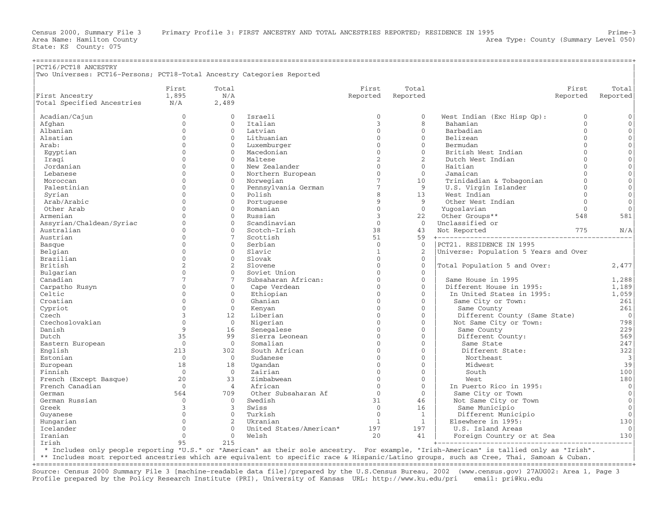Area Name: Hamilton County (Summary Level 050) (Area Type: County (Summary Level 050)

| PCT16/PCT18 ANCESTRY                                                   |                      |                      |                           |                          |                          |                                                |              |                     |
|------------------------------------------------------------------------|----------------------|----------------------|---------------------------|--------------------------|--------------------------|------------------------------------------------|--------------|---------------------|
| Two Universes: PCT16-Persons; PCT18-Total Ancestry Categories Reported |                      |                      |                           |                          |                          |                                                |              |                     |
|                                                                        | First                | Total                |                           | First                    | Total                    |                                                | First        | Total               |
| First Ancestry                                                         | 1,895                | N/A                  |                           | Reported                 | Reported                 |                                                | Reported     | Reported            |
| Total Specified Ancestries                                             | N/A                  | 2,489                |                           |                          |                          |                                                |              |                     |
|                                                                        |                      |                      |                           |                          |                          |                                                |              |                     |
| Acadian/Cajun                                                          | $\mathbf{0}$         | $\Omega$             | Israeli                   | $\mathbf{0}$             | $\mathbf{0}$             | West Indian (Exc Hisp Gp):                     | $\mathbf{0}$ | $\mathbf{0}$        |
| Afghan                                                                 | $\Omega$             | $\Omega$             | Italian                   | 3                        | 8                        | Bahamian                                       | $\Omega$     | $\Omega$            |
| Albanian                                                               | $\mathbf{0}$         | $\mathbf{0}$         | Latvian                   | $\mathbf{0}$             | $\mathbf{0}$             | Barbadian                                      | $\Omega$     | $\mathbf{0}$        |
| Alsatian                                                               | $\Omega$             | $\Omega$             | Lithuanian                | $\Omega$                 | $\Omega$                 | Belizean                                       | $\Omega$     | $\mathbf{0}$        |
| Arab:                                                                  | $\Omega$             | $\Omega$             | Luxemburger               | $\Omega$                 | $\Omega$                 | Bermudan                                       | $\cap$       | $\mathbf{0}$        |
| Egyptian                                                               | $\cap$               | $\Omega$             | Macedonian                | $\Omega$                 | $\Omega$                 | British West Indian                            | $\Omega$     | $\Omega$            |
| Iraqi                                                                  | $\Omega$             | $\mathbf{0}$         | Maltese                   | 2                        | 2                        | Dutch West Indian                              | $\Omega$     | $\mathbf 0$         |
| Jordanian                                                              | $\cap$               | $\Omega$             | New Zealander             | $\Omega$                 | $\Omega$                 | Haitian                                        | $\Omega$     | $\mathbf{0}$        |
| Lebanese                                                               | $\Omega$             | $\mathbf{0}$         | Northern European         | $\mathbf{0}$             | $\circ$                  | Jamaican                                       | $\cap$       | $\mathbf 0$         |
| Moroccan                                                               | $\Omega$             | $\Omega$             | Norwegian                 | $7\phantom{.0}$          | 10                       | Trinidadian & Tobagonian                       | $\Omega$     | $\mathbf{0}$        |
| Palestinian                                                            | $\Omega$             | $\mathbf{0}$         | Pennsylvania German       | $7\overline{ }$          | 9                        | U.S. Virgin Islander                           | $\Omega$     | $\mathbf 0$         |
| Syrian                                                                 | $\Omega$             | $\Omega$             | Polish                    | 8                        | 13                       | West Indian                                    | $\Omega$     | $\mathbf 0$         |
| Arab/Arabic                                                            | $\Omega$             | $\Omega$             | Portuguese                | 9                        | 9                        | Other West Indian                              | $\Omega$     | $\mathbf{0}$        |
| Other Arab                                                             | $\Omega$             | $\Omega$             | Romanian                  | $\mathbf{0}$             | $\mathbf{0}$             | Yuqoslavian                                    | $\Omega$     | $\mathbf{0}$        |
| Armenian                                                               | $\Omega$             | $\Omega$             | Russian                   | $\overline{3}$           | 22                       | Other Groups**                                 | 548          | 581                 |
| Assyrian/Chaldean/Syriac                                               | $\Omega$             | $\Omega$             | Scandinavian              | $\Omega$                 | $\Omega$                 | Unclassified or                                |              |                     |
| Australian                                                             | $\Omega$             | $\Omega$             | Scotch-Irish              | 38                       | 43                       | Not Reported                                   | 775          | N/A                 |
| Austrian                                                               | $\Omega$             | 7                    | Scottish                  | 51                       | 59                       |                                                |              |                     |
| Basque                                                                 | $\Omega$             | $\Omega$             | Serbian                   | $\mathbf{0}$             | $\mathbf{0}$             | PCT21. RESIDENCE IN 1995                       |              |                     |
| Belgian                                                                | $\Omega$<br>$\Omega$ | $\Omega$<br>$\Omega$ | Slavic                    | $\mathbf{1}$<br>$\Omega$ | 2                        | Universe: Population 5 Years and Over          |              |                     |
| Brazilian                                                              | 2                    | 2                    | Slovak                    | $\mathbf{0}$             | $\mathbf{0}$             |                                                |              |                     |
| British                                                                | $\Omega$             | $\Omega$             | Slovene<br>Soviet Union   | $\Omega$                 | $\mathbf{0}$<br>$\Omega$ | Total Population 5 and Over:                   |              | 2,477               |
| Bulgarian                                                              | $\overline{7}$       | 7                    | Subsaharan African:       | $\Omega$                 | $\Omega$                 |                                                |              |                     |
| Canadian                                                               | $\Omega$             | $\Omega$             |                           | $\Omega$                 | $\Omega$                 | Same House in 1995<br>Different House in 1995: |              | 1,288<br>1,189      |
| Carpatho Rusyn<br>Celtic                                               | $\Omega$             | $\mathbf{0}$         | Cape Verdean<br>Ethiopian | $\Omega$                 | $\mathbf{0}$             | In United States in 1995:                      |              | 1,059               |
| Croatian                                                               | $\Omega$             | $\Omega$             | Ghanian                   | $\Omega$                 | $\Omega$                 | Same City or Town:                             |              | 261                 |
| Cypriot                                                                | $\Omega$             | $\Omega$             | Kenyan                    | $\Omega$                 | $\Omega$                 | Same County                                    |              | 261                 |
| Czech                                                                  | 3                    | 12.                  | Liberian                  | $\Omega$                 | $\Omega$                 | Different County (Same State)                  |              | $\Omega$            |
| Czechoslovakian                                                        | $\Omega$             | $\overline{0}$       | Nigerian                  | $\Omega$                 | $\mathbf{0}$             | Not Same City or Town:                         |              | 798                 |
| Danish                                                                 | $\mathsf{Q}$         | 16                   | Senegalese                | $\Omega$                 | $\Omega$                 | Same County                                    |              | 229                 |
| Dutch                                                                  | 35                   | 99                   | Sierra Leonean            | $\Omega$                 | $\Omega$                 | Different County:                              |              | 569                 |
| Eastern European                                                       | $\Omega$             | $\overline{0}$       | Somalian                  | $\Omega$                 | $\Omega$                 | Same State                                     |              | 247                 |
| English                                                                | 213                  | 302                  | South African             | $\Omega$                 | $\mathbf{0}$             | Different State:                               |              | 322                 |
| Estonian                                                               | $\Omega$             | $\Omega$             | Sudanese                  | $\Omega$                 | $\Omega$                 | Northeast                                      |              | $\vert$ 3           |
| European                                                               | 18                   | 18                   | Uqandan                   | $\Omega$                 | $\Omega$                 | Midwest                                        |              | 39                  |
| Finnish                                                                | $\Omega$             | $\Omega$             | Zairian                   | $\Omega$                 | $\Omega$                 | South                                          |              | 100                 |
| French (Except Basque)                                                 | 20                   | 33                   | Zimbabwean                | $\Omega$                 | $\mathbf{0}$             | West                                           |              | 180                 |
| French Canadian                                                        | $\Omega$             | $\overline{4}$       | African                   | $\Omega$                 | $\Omega$                 | In Puerto Rico in 1995:                        |              | $\mathbb O$         |
| German                                                                 | 564                  | 709                  | Other Subsaharan Af       | $\Omega$                 | $\Omega$                 | Same City or Town                              |              | $\mathsf{O}\xspace$ |
| German Russian                                                         | $\Omega$             | $\Omega$             | Swedish                   | 31                       | 46                       | Not Same City or Town                          |              | $\mathbf{0}$        |
| Greek                                                                  | 3                    | 3                    | Swiss                     | $\Omega$                 | 16                       | Same Municipio                                 |              | $\mathbf{0}$        |
| Guyanese                                                               | $\Omega$             | $\Omega$             | Turkish                   | $\Omega$                 | $\mathbf{1}$             | Different Municipio                            |              | $\Omega$            |
| Hungarian                                                              | $\Omega$             | $\overline{c}$       | Ukranian                  | $\mathbf{1}$             | $\mathbf{1}$             | Elsewhere in 1995:                             |              | 130                 |
| Icelander                                                              | $\Omega$             | $\Omega$             | United States/American*   | 197                      | 197                      | U.S. Island Areas                              |              | $\Omega$            |
| Iranian                                                                | $\Omega$             | $\Omega$             | Welsh                     | 20                       | 41                       | Foreign Country or at Sea                      |              | 130                 |
| Irish                                                                  | 95                   | 215                  |                           |                          |                          |                                                |              |                     |

| \* Includes only people reporting "U.S." or "American" as their sole ancestry. For example, "Irish−American" is tallied only as "Irish". |

\*\* Includes most reported ancestries which are equivalent to specific race & Hispanic/Latino groups, such as Cree, Thai, Samoan & Cuban.

+===================================================================================================================================================+ Source: Census 2000 Summary File 3 [machine−readable data file]/prepared by the U.S.Census Bureau, 2002 (www.census.gov) 27AUG02: Area 1, Page 3 Profile prepared by the Policy Research Institute (PRI), University of Kansas URL: http://www.ku.edu/pri email: pri@ku.edu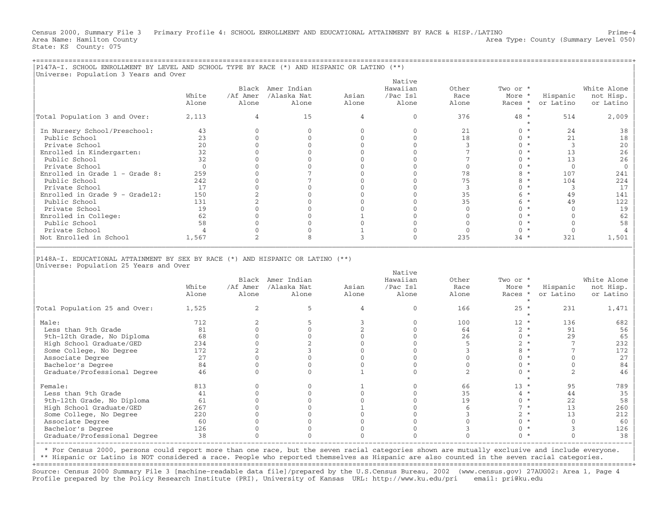Census 2000, Summary File 3 Primary Profile 4: SCHOOL ENROLLMENT AND EDUCATIONAL ATTAINMENT BY RACE & HISP./LATINO Prime−4 Area Name: Hamilton County 1999 (Summary Level 050) Area Type: County (Summary Level 050) State: KS County: 075

+===================================================================================================================================================+

| Universe: Population 3 Years and Over                                                                                    |                |                          |                          |                              | Native                   |                   |                    |                                |                |
|--------------------------------------------------------------------------------------------------------------------------|----------------|--------------------------|--------------------------|------------------------------|--------------------------|-------------------|--------------------|--------------------------------|----------------|
|                                                                                                                          |                |                          | Black Amer Indian        |                              | Hawaiian                 | Other             | Two or *           |                                | White Alone    |
|                                                                                                                          | White          | /Af Amer                 | /Alaska Nat              | Asian                        | /Pac Isl                 | Race              | More *             | Hispanic                       | not Hisp.      |
|                                                                                                                          | Alone          | Alone                    | Alone                    | Alone                        | Alone                    | Alone             | Races *            | or Latino                      | or Latino      |
| Total Population 3 and Over:                                                                                             | 2,113          | 4                        | 15                       | 4                            | $\mathbf{0}$             | 376               | 48 *<br>$\star$    | 514                            | 2,009          |
| In Nursery School/Preschool:                                                                                             | 43             | $\mathbf{0}$             | $\mathbf{0}$             | $\mathbf{0}$                 | $\mathbf{0}$             | 21                | $0 *$              | 24                             | 38             |
| Public School                                                                                                            | 23             | $\mathbf{0}$             | $\mathbf{0}$             | $\mathbf{0}$                 | $\mathbf{0}$             | 18                | $0 *$              | 21                             | 18             |
| Private School                                                                                                           | 20             | $\mathbf{0}$             | $\mathbf{0}$             | $\mathbf{0}$                 | $\mathbf{0}$             | 3                 | $0 *$              | $\overline{3}$                 | 20             |
| Enrolled in Kindergarten:                                                                                                | 32             | $\Omega$                 | $\Omega$                 | $\Omega$                     | $\Omega$                 | $7\phantom{.0}$   | $0 *$              | 13                             | 26             |
| Public School                                                                                                            | 32             | $\Omega$                 | $\Omega$                 | $\Omega$                     | $\Omega$                 | $7\phantom{.0}$   | $0 *$              | 13                             | 26             |
| Private School                                                                                                           | $\overline{0}$ | $\Omega$                 | $\mathbf{0}$             | $\Omega$                     | $\Omega$                 | $\mathbf{0}$      | $0 *$              | $\mathbf{0}$                   | $\overline{0}$ |
| Enrolled in Grade $1$ - Grade 8:                                                                                         | 259            | $\mathbf{0}$             | 7                        | $\Omega$                     | $\mathbf{0}$             | 78                | $8 *$              | 107                            | 241            |
| Public School                                                                                                            | 242            | $\Omega$                 | 7                        | $\Omega$                     | $\Omega$                 | 75                | $8 *$              | 104                            | 224            |
| Private School                                                                                                           | 17             | $\Omega$                 | $\Omega$                 | $\Omega$                     | $\Omega$                 | 3                 | $0 *$              | 3                              | 17             |
| Enrolled in Grade $9 -$ Grade12:                                                                                         | 150            | $\overline{c}$           | $\mathbf{0}$             | $\Omega$                     | $\mathbf{0}$             | 35                | $6*$               | 49                             | 141            |
| Public School                                                                                                            | 131            | $\mathbf{2}$             | $\Omega$                 | $\Omega$                     | $\Omega$                 | 35                | $6*$               | 49                             | 122            |
| Private School                                                                                                           | 19             | $\Omega$                 | $\Omega$                 | $\Omega$                     | $\Omega$                 | $\Omega$          | $0 *$              | $\Omega$                       | 19             |
| Enrolled in College:                                                                                                     | 62             | $\Omega$                 | $\overline{0}$           | $\mathbf{1}$                 | $\Omega$                 | $\Omega$          | $0 *$              | $\Omega$                       | 62             |
| Public School                                                                                                            | 58             | $\mathbf{0}$             | $\Omega$                 | $\Omega$                     | $\mathbf{0}$             | $\mathbf{0}$      | $0 *$              | $\Omega$                       | 58             |
| Private School                                                                                                           | $\overline{4}$ | $\mathbf{0}$             | 0                        | $\mathbf{1}$                 | $\mathbf 0$              | $\mathbf{0}$      | $0 *$              | $\mathbf{0}$                   | $\overline{4}$ |
| Not Enrolled in School                                                                                                   | 1,567          | 2                        | $\mathsf{R}$             | 3                            | $\Omega$                 | 235               | $34 *$             | 321                            | 1,501          |
|                                                                                                                          |                |                          |                          |                              |                          |                   |                    |                                |                |
|                                                                                                                          |                |                          |                          |                              |                          |                   |                    |                                |                |
| P148A-I. EDUCATIONAL ATTAINMENT BY SEX BY RACE (*) AND HISPANIC OR LATINO (**)<br>Universe: Population 25 Years and Over |                |                          |                          |                              | Native                   |                   |                    |                                |                |
|                                                                                                                          |                |                          | Black Amer Indian        |                              | Hawaiian                 | Other             | Two or *           |                                | White Alone    |
|                                                                                                                          | White          |                          | /Af Amer /Alaska Nat     | Asian                        | /Pac Isl                 | Race              | More *             | Hispanic                       | not Hisp.      |
|                                                                                                                          | Alone          | Alone                    | Alone                    | Alone                        | Alone                    | Alone             | Races *<br>$\star$ | or Latino                      | or Latino      |
| Total Population 25 and Over:                                                                                            | 1,525          | 2                        | 5                        | $\overline{4}$               | $\Omega$                 | 166               | $25 *$<br>$\star$  | 231                            | 1,471          |
|                                                                                                                          |                |                          | 5                        |                              | $\Omega$                 |                   |                    |                                |                |
| Male:                                                                                                                    | 712            | 2                        |                          | 3                            |                          | 100               | $12 *$             | 136                            | 682            |
| Less than 9th Grade                                                                                                      | 81             | $\Omega$                 | $\Omega$                 | $\overline{c}$               | $\Omega$                 | 64                | $2 *$              | 91                             | 56             |
| 9th-12th Grade, No Diploma                                                                                               | 68             | $\Omega$                 | $\mathbf{0}$             | $\Omega$                     | $\Omega$                 | 26                | $0 *$              | 29                             | 65             |
| High School Graduate/GED                                                                                                 | 234            | $\mathbf{0}$             | $\overline{2}$           | $\Omega$                     | $\mathbf{0}$             | 5                 | $2 *$              | $7\phantom{.0}$                | 232            |
| Some College, No Degree                                                                                                  | 172            | 2                        | 3                        | $\mathbf{0}$                 | $\mathbf{0}$             | $\mathbf{3}$      | $8 *$              | $\overline{7}$                 | 172            |
| Associate Degree                                                                                                         | 27             | $\Omega$                 | $\Omega$                 | $\Omega$                     | $\Omega$                 | $\Omega$          | $0 *$              | $\Omega$                       | 27             |
| Bachelor's Degree<br>Graduate/Professional Degree                                                                        | 84<br>46       | $\mathbf{0}$<br>$\Omega$ | $\mathbf{0}$<br>$\Omega$ | $\mathbf{0}$<br>$\mathbf{1}$ | $\mathbf{0}$<br>$\Omega$ | $\mathbf{0}$<br>2 | $0 *$<br>$0 *$     | $\mathbf{0}$<br>$\overline{2}$ | 84<br>46       |
|                                                                                                                          |                |                          |                          |                              |                          |                   | $\star$            |                                |                |
| Female:                                                                                                                  | 813            | $\mathbf{0}$             | $\mathbf{0}$             | $\mathbf{1}$                 | $\mathbf{0}$             | 66                | $13 *$             | 95                             | 789            |
| Less than 9th Grade                                                                                                      | 41             | $\Omega$                 | $\Omega$                 | $\Omega$                     | $\Omega$                 | 35                | $4 *$              | 44                             | 35             |
| 9th-12th Grade, No Diploma                                                                                               | 61             | $\mathbf{0}$             | $\mathbf{0}$             | $\mathbf{0}$                 | $\mathbf{0}$             | 19                | $0 *$              | 22                             | 58             |
| High School Graduate/GED                                                                                                 | 267            | $\mathbf{0}$             | $\Omega$                 | $\mathbf{1}$                 | $\Omega$                 | 6                 | $7 *$              | 13                             | 260            |
| Some College, No Degree                                                                                                  | 220            | $\Omega$                 | $\Omega$                 | $\Omega$                     | $\Omega$                 | 3                 | $2 *$              | 13                             | 212            |
| Associate Degree                                                                                                         | 60             | $\Omega$                 | $\Omega$                 | $\Omega$                     | $\mathbf{0}$             | $\Omega$          | $0 *$              | $\Omega$                       | 60             |
| Bachelor's Degree                                                                                                        | 126            | $\mathbf{0}$<br>$\Omega$ | $\Omega$<br>$\Omega$     | $\Omega$<br>$\Omega$         | $\Omega$<br>$\Omega$     | 3<br>$\Omega$     | $0 *$<br>$0 *$     | 3<br>$\Omega$                  | 126<br>38      |

| \* For Census 2000, persons could report more than one race, but the seven racial categories shown are mutually exclusive and include everyone. |

\*\* Hispanic or Latino is NOT considered a race. People who reported themselves as Hispanic are also counted in the seven racial categories.

|−−−−−−−−−−−−−−−−−−−−−−−−−−−−−−−−−−−−−−−−−−−−−−−−−−−−−−−−−−−−−−−−−−−−−−−−−−−−−−−−−−−−−−−−−−−−−−−−−−−−−−−−−−−−−−−−−−−−−−−−−−−−−−−−−−−−−−−−−−−−−−−−−−−|

+===================================================================================================================================================+ Source: Census 2000 Summary File 3 [machine−readable data file]/prepared by the U.S.Census Bureau, 2002 (www.census.gov) 27AUG02: Area 1, Page 4 Profile prepared by the Policy Research Institute (PRI), University of Kansas URL: http://www.ku.edu/pri email: pri@ku.edu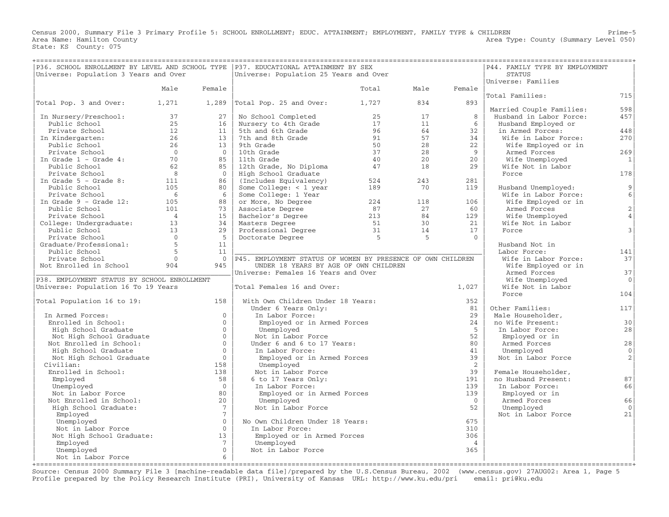Census 2000, Summary File 3 Primary Profile 5: SCHOOL ENROLLMENT; EDUC. ATTAINMENT; EMPLOYMENT, FAMILY TYPE & CHILDREN Prime-5<br>Area Name: Hamilton County Level 050) Area Type: County (Summary Level 050) State: KS County: 075

| ================================            |                |                      | P36. SCHOOL ENROLLMENT BY LEVEL AND SCHOOL TYPE   P37. EDUCATIONAL ATTAINMENT BY SEX | =============   |      |                | ===============================<br>P44. FAMILY TYPE BY EMPLOYMENT |                   |
|---------------------------------------------|----------------|----------------------|--------------------------------------------------------------------------------------|-----------------|------|----------------|-------------------------------------------------------------------|-------------------|
| Universe: Population 3 Years and Over       |                |                      | Universe: Population 25 Years and Over                                               |                 |      |                | STATUS<br>Universe: Families                                      |                   |
|                                             | Male           | Female               |                                                                                      | Total           | Male | Female         |                                                                   |                   |
|                                             |                |                      |                                                                                      |                 |      |                | Total Families:                                                   | 715               |
| Total Pop. 3 and Over:                      | 1,271          |                      | $1,289$ $ Total Pop. 25 and Over:$                                                   | 1,727           | 834  | 893            |                                                                   |                   |
|                                             |                |                      |                                                                                      |                 |      |                | Married Couple Families:                                          | 598               |
| In Nursery/Preschool:                       | 37             | 27                   | No School Completed                                                                  | 25              | 17   | 8              | Husband in Labor Force:                                           | 457               |
| Public School                               | 25             | 16                   | Nursery to 4th Grade                                                                 | 17              | 11   | -6             | Husband Employed or                                               |                   |
| Private School                              | 12             | 11                   | 5th and 6th Grade                                                                    | 96              | 64   | 32             | in Armed Forces:                                                  | 448               |
| In Kindergarten:                            | 26             | 13                   | 7th and 8th Grade                                                                    | 91              | 57   | 34             | Wife in Labor Force:                                              | 270               |
| Public School                               | 26             | 13                   | 9th Grade                                                                            | 50              | 28   | 22             | Wife Employed or in                                               |                   |
| Private School                              | $\overline{0}$ | $\bigcirc$           | 10th Grade                                                                           | 37              | 28   | 9              | Armed Forces                                                      | 269               |
| In Grade $1$ - Grade $4$ :                  | 70             | 85                   | 11th Grade                                                                           | 40              | 20   | 20             | Wife Unemployed                                                   | 1                 |
| Public School                               | 62             | 85                   | 12th Grade, No Diploma                                                               | 47              | 18   | 29             | Wife Not in Labor                                                 |                   |
| Private School                              | 8              | $\bigcirc$           | High School Graduate                                                                 |                 |      |                | Force                                                             | 178               |
| In Grade $5$ - Grade 8:                     | 111            | 86                   | (Includes Equivalency)                                                               | 524             | 243  | 281            |                                                                   |                   |
| Public School                               | 105<br>6       | 80<br>6              | Some College: $<$ 1 year                                                             | 189             | 70   | 119            | Husband Unemployed:                                               | 9 <br>6           |
| Private School<br>In Grade $9$ - Grade 12:  | 105            | 88                   | Some College: 1 Year                                                                 | 224             | 118  | 106            | Wife in Labor Force:<br>Wife Employed or in                       |                   |
| Public School                               | 101            | 73                   | or More, No Degree<br>Associate Degree                                               | 87              | 27   | 60             | Armed Forces                                                      | $\overline{2}$    |
| Private School                              | $\overline{4}$ | 15                   | Bachelor's Degree                                                                    | 213             | 84   | 129            | Wife Unemployed                                                   | $\overline{4}$    |
| College: Undergraduate: 13                  |                | 34                   | Masters Degree                                                                       | 51              | 30   | 21             | Wife Not in Labor                                                 |                   |
| Public School                               | 13             | 29                   |                                                                                      | $\frac{51}{31}$ | 14   | 17             | Force                                                             | $\mathfrak{Z}$    |
| Private School                              | $\overline{0}$ | 5 <sup>5</sup>       | Professional Degree<br>Doctorate Degree<br>Doctorate Degree                          | $5^{\circ}$     | $-5$ | $\Omega$       |                                                                   |                   |
| Graduate/Professional:                      | $5^{\circ}$    | 11                   |                                                                                      |                 |      |                | Husband Not in                                                    |                   |
| Public School                               | $\overline{5}$ | 11                   |                                                                                      |                 |      |                | Labor Force:                                                      | 141               |
| Private School                              | $\Omega$       |                      | 0   P45. EMPLOYMENT STATUS OF WOMEN BY PRESENCE OF OWN CHILDREN                      |                 |      |                | Wife in Labor Force:                                              | 37                |
| Not Enrolled in School                      | 904            | 945                  | UNDER 18 YEARS BY AGE OF OWN CHILDREN                                                |                 |      |                | Wife Employed or in                                               |                   |
|                                             |                |                      | Universe: Females 16 Years and Over                                                  |                 |      |                | Armed Forces                                                      | 37                |
| P38. EMPLOYMENT STATUS BY SCHOOL ENROLLMENT |                |                      |                                                                                      |                 |      |                | Wife Unemployed                                                   | $\circ$           |
| Universe: Population 16 To 19 Years         |                |                      | Total Females 16 and Over:                                                           |                 |      | 1,027          | Wife Not in Labor                                                 |                   |
|                                             |                |                      |                                                                                      |                 |      |                | Force                                                             | 104               |
| Total Population 16 to 19:                  |                | 158                  | With Own Children Under 18 Years:                                                    |                 |      | 352            |                                                                   |                   |
|                                             |                |                      | Under 6 Years Only:                                                                  |                 |      | 81             | Other Families:                                                   | 117               |
| In Armed Forces:                            |                | $\Omega$             | In Labor Force:                                                                      |                 |      | 2.9            | Male Householder,                                                 |                   |
| Enrolled in School:                         |                | $\Omega$             | Employed or in Armed Forces                                                          |                 |      | 24             | no Wife Present:                                                  | 30                |
| High School Graduate                        |                | $\Omega$             | Unemployed                                                                           |                 |      | -5             | In Labor Force:                                                   | 28                |
| Not High School Graduate                    |                | $\Omega$             | Not in Labor Force                                                                   |                 |      | 52             | Employed or in                                                    |                   |
| Not Enrolled in School:                     |                | $\Omega$<br>$\Omega$ | Under 6 and 6 to 17 Years:                                                           |                 |      | 80<br>41       | Armed Forces                                                      | 28                |
| High School Graduate                        |                | $\Omega$             | In Labor Force:                                                                      |                 |      | 39             | Unemployed<br>Not in Labor Force                                  | $\mathbf{0}$<br>2 |
| Not High School Graduate<br>Civilian:       |                | 158                  | Employed or in Armed Forces<br>Unemployed                                            |                 |      | $\overline{2}$ |                                                                   |                   |
| Enrolled in School:                         |                | 138                  | Not in Labor Force                                                                   |                 |      | 39             | Female Householder,                                               |                   |
| Employed                                    |                | 58                   | 6 to 17 Years Only:                                                                  |                 |      | 191            | no Husband Present:                                               | 87                |
| Unemployed                                  |                | $\bigcirc$           | In Labor Force:                                                                      |                 |      | 139            | In Labor Force:                                                   | 66                |
| Not in Labor Force                          |                | 80                   | Employed or in Armed Forces                                                          |                 |      | 139            | Employed or in                                                    |                   |
| Not Enrolled in School:                     |                | 20                   | Unemployed                                                                           |                 |      | $\overline{0}$ | Armed Forces                                                      | 66                |
| High School Graduate:                       |                | $7^{\circ}$          | Not in Labor Force                                                                   |                 |      | 52             | Unemployed                                                        | $\Omega$          |
| Employed                                    |                | $7\overline{ }$      |                                                                                      |                 |      |                | Not in Labor Force                                                | 21                |
| Unemployed                                  |                | $\Omega$             | No Own Children Under 18 Years:                                                      |                 |      | 675            |                                                                   |                   |
| Not in Labor Force                          |                | $\Omega$             | In Labor Force:                                                                      |                 |      | 310            |                                                                   |                   |
| Not High School Graduate:                   |                | 13                   | Employed or in Armed Forces                                                          |                 |      | 306            |                                                                   |                   |
| Employed                                    |                | $7\phantom{.0}$      | Unemployed                                                                           |                 |      | $\overline{4}$ |                                                                   |                   |
| Unemployed                                  |                | $\Omega$             | Not in Labor Force                                                                   |                 |      | 365            |                                                                   |                   |
| Not in Labor Force                          |                | 6                    |                                                                                      |                 |      |                |                                                                   |                   |

+===================================================================================================================================================+ Source: Census 2000 Summary File 3 [machine−readable data file]/prepared by the U.S.Census Bureau, 2002 (www.census.gov) 27AUG02: Area 1, Page 5 Profile prepared by the Policy Research Institute (PRI), University of Kansas URL: http://www.ku.edu/pri email: pri@ku.edu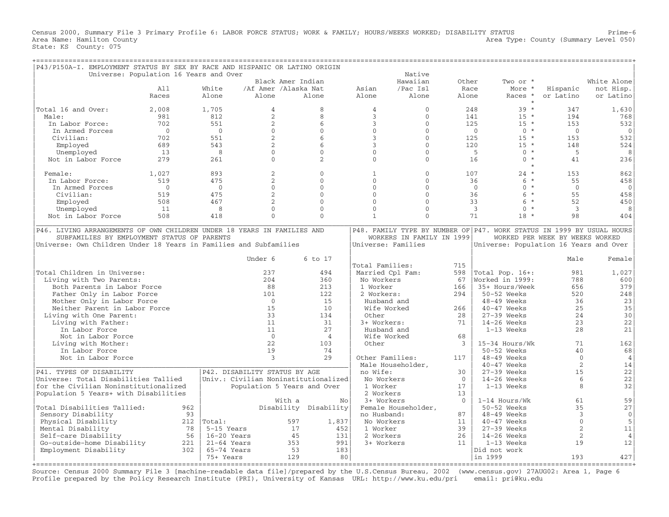Census 2000, Summary File 3 Primary Profile 6: LABOR FORCE STATUS; WORK & FAMILY; HOURS/WEEKS WORKED; DISABILITY STATUS Prime-6<br>Area Name: Hamilton County Level 050) Area Type: County (Summary Level 050) State: KS County: 075

| P43/P150A-I. EMPLOYMENT STATUS BY SEX BY RACE AND HISPANIC OR LATINO ORIGIN |                                        |                      |                               |                                      |                    |                           |                |                                                                       |                                 |                |
|-----------------------------------------------------------------------------|----------------------------------------|----------------------|-------------------------------|--------------------------------------|--------------------|---------------------------|----------------|-----------------------------------------------------------------------|---------------------------------|----------------|
|                                                                             | Universe: Population 16 Years and Over |                      |                               |                                      |                    | Native                    |                |                                                                       |                                 |                |
|                                                                             |                                        |                      | Black Amer Indian             |                                      |                    | Hawaiian                  | Other          | Two or *                                                              |                                 | White Alone    |
|                                                                             | A11                                    | White                | /Af Amer /Alaska Nat          |                                      | Asian              | /Pac Isl                  | Race           | More *                                                                | Hispanic                        | not Hisp.      |
|                                                                             | Races                                  | Alone                | Alone                         | Alone                                | Alone              | Alone                     | Alone          | Races *                                                               | or Latino                       | or Latino      |
|                                                                             |                                        |                      |                               |                                      |                    |                           |                | $\star$                                                               |                                 |                |
| Total 16 and Over:                                                          | 2,008                                  | 1,705                | $\overline{4}$                | 8                                    | $\overline{4}$     | $\Omega$                  |                | 248<br>$39 *$                                                         | 347                             | 1,630          |
| Male:                                                                       | 981                                    | 812                  | $\overline{2}$                | 8                                    | 3                  | $\mathbf{0}$              |                | $15 *$<br>141                                                         | 194                             | 768            |
| In Labor Force:                                                             | 702                                    | 551                  | $\overline{2}$                | 6                                    | $\mathbf{3}$       | $\Omega$                  |                | $15 *$<br>125                                                         | 153                             | 532            |
| In Armed Forces                                                             | $\Omega$                               | $\Omega$             | $\Omega$                      | $\Omega$                             | $\Omega$           | $\Omega$                  |                | $\mathbf{0}$<br>$0 *$                                                 | $\Omega$                        | $\mathbf{0}$   |
| Civilian:                                                                   | 702                                    | 551                  | $\overline{2}$                | 6                                    | 3                  | $\Omega$                  |                | $15 *$<br>125                                                         | 153                             | 532            |
| Employed                                                                    | 689                                    | 543                  | 2                             | 6                                    | 3                  | $\mathbf{0}$              |                | 120<br>$15 *$                                                         | 148                             | 524            |
| Unemployed                                                                  | 13                                     | 8                    | $\Omega$                      | $\Omega$                             | $\Omega$           | $\Omega$                  |                | $0 *$<br>5                                                            | 5                               | 8              |
| Not in Labor Force                                                          | 279                                    | 261                  | $\Omega$                      | 2                                    | $\Omega$           | $\Omega$                  |                | $\Omega$<br>$\star$<br>16                                             | 41                              | 236            |
|                                                                             |                                        |                      |                               |                                      |                    |                           |                | $\star$                                                               |                                 |                |
| Female:                                                                     | 1,027                                  | 893                  | $\overline{2}$                | $\Omega$                             | $\mathbf{1}$       | $\mathbf{0}$              |                | $24 *$<br>107                                                         | 153                             | 862            |
| In Labor Force:                                                             | 519                                    | 475                  | $\overline{a}$                | $\Omega$                             | $\Omega$           | $\Omega$                  |                | 6<br>$\star$<br>36                                                    | 55                              | 458            |
| In Armed Forces                                                             | $\mathbf{0}$                           | $\overline{0}$       | $\mathbf{0}$                  | $\Omega$                             | $\Omega$           | $\mathbf{0}$              |                | $\mathbf{0}$<br>$\Omega$<br>$^{\star}$                                | $\Omega$                        | $\mathbf 0$    |
| Civilian:                                                                   | 519                                    | 475                  | $\overline{2}$                | $\Omega$                             | $\Omega$           | $\Omega$                  |                | $\star$<br>36<br>6                                                    | 55                              | 458            |
|                                                                             | 508                                    | 467                  | $\mathfrak{D}$                | $\Omega$                             | $\Omega$           | $\Omega$                  |                | $6^{\circ}$<br>$\star$<br>33                                          | 52                              |                |
| Employed                                                                    |                                        |                      |                               |                                      |                    |                           |                |                                                                       |                                 | 450            |
| Unemployed                                                                  | 11                                     | 8                    | $\mathbf{0}$                  | $\mathbf 0$                          | $\mathbf{0}$       | $\mathbf{0}$              |                | $\mathbf{3}$<br>$\mathbf{0}$<br>$\star$                               | $\overline{3}$                  | 8              |
| Not in Labor Force                                                          | 508                                    | 418                  | $\Omega$                      | $\Omega$                             | $\mathbf{1}$       | $\Omega$                  |                | 71<br>$18 *$                                                          | 98                              | 404            |
| P46. LIVING ARRANGEMENTS OF OWN CHILDREN UNDER 18 YEARS IN FAMILIES AND     |                                        |                      |                               |                                      |                    |                           |                | P48. FAMILY TYPE BY NUMBER OF P47. WORK STATUS IN 1999 BY USUAL HOURS |                                 |                |
|                                                                             |                                        |                      |                               |                                      |                    |                           |                |                                                                       |                                 |                |
| SUBFAMILIES BY EMPLOYMENT STATUS OF PARENTS                                 |                                        |                      |                               |                                      |                    | WORKERS IN FAMILY IN 1999 |                |                                                                       | WORKED PER WEEK BY WEEKS WORKED |                |
| Universe: Own Children Under 18 Years in Families and Subfamilies           |                                        |                      |                               |                                      | Universe: Families |                           |                | Universe: Population 16 Years and Over                                |                                 |                |
|                                                                             |                                        |                      |                               |                                      |                    |                           |                |                                                                       |                                 |                |
|                                                                             |                                        |                      | Under 6                       | 6 to 17                              |                    |                           |                |                                                                       | Male                            | Female         |
|                                                                             |                                        |                      |                               |                                      | Total Families:    |                           | 715            |                                                                       |                                 |                |
| Total Children in Universe:                                                 |                                        |                      | 237                           | 494                                  | Married Cpl Fam:   |                           | 598            | Total Pop. 16+:                                                       | 981                             | 1,027          |
| Living with Two Parents:                                                    |                                        |                      | 204                           | 360                                  | No Workers         |                           | 67             | Worked in 1999:                                                       | 788                             | 600            |
| Both Parents in Labor Force                                                 |                                        |                      | 88                            | 213                                  | 1 Worker           |                           | 166            | 35+ Hours/Week                                                        | 656                             | 379            |
| Father Only in Labor Force                                                  |                                        |                      | 101                           | 122                                  | 2 Workers:         |                           | 294            | 50-52 Weeks                                                           | 520                             | 248            |
| Mother Only in Labor Force                                                  |                                        |                      | $\overline{0}$                | 15                                   | Husband and        |                           |                | $48-49$ Weeks                                                         | 36                              | 23             |
| Neither Parent in Labor Force                                               |                                        |                      | 15                            | 10                                   | Wife Worked        |                           | 266            | 40-47 Weeks                                                           | 25                              | 35             |
| Living with One Parent:                                                     |                                        |                      | 33                            | 134                                  | Other              |                           | 28             | $27-39$ Weeks                                                         | 24                              | 30             |
| Living with Father:                                                         |                                        |                      | 11                            | 31                                   | 3+ Workers:        |                           | 71             | $14-26$ Weeks                                                         | 23                              | 22             |
| In Labor Force                                                              |                                        |                      | 11                            | 27                                   | Husband and        |                           |                | 1-13 Weeks                                                            | 28                              | 21             |
|                                                                             |                                        |                      | $\Omega$                      |                                      |                    |                           |                |                                                                       |                                 |                |
| Not in Labor Force                                                          |                                        |                      |                               | $\overline{4}$                       | Wife Worked        |                           | 68             |                                                                       |                                 |                |
| Living with Mother:                                                         |                                        |                      | 22                            | 103                                  | Other              |                           | 3              | 15-34 Hours/Wk                                                        | 71                              | 162            |
| In Labor Force                                                              |                                        |                      | 19                            | 74                                   |                    |                           |                | 50-52 Weeks                                                           | 40                              | 68             |
| Not in Labor Force                                                          |                                        |                      | 3                             | 2.9                                  | Other Families:    |                           | 117            | $48-49$ Weeks                                                         | $\Omega$                        | $\overline{4}$ |
|                                                                             |                                        |                      |                               |                                      | Male Householder,  |                           |                | 40-47 Weeks                                                           | 2                               | 14             |
| P41. TYPES OF DISABILITY                                                    |                                        |                      | P42. DISABILITY STATUS BY AGE |                                      | no Wife:           |                           | 30             | $27-39$ Weeks                                                         | 15                              | 22             |
| Universe: Total Disabilities Tallied                                        |                                        |                      |                               | Univ.: Civilian Noninstitutionalized | No Workers         |                           | $\overline{0}$ | $14-26$ Weeks                                                         | 6                               | 22             |
| for the Civilian Noninstitutionalized                                       |                                        |                      |                               | Population 5 Years and Over          | 1 Worker           |                           | 17             | 1-13 Weeks                                                            | 8                               | 32             |
| Population 5 Years+ with Disabilities                                       |                                        |                      |                               |                                      | 2 Workers          |                           | 13             |                                                                       |                                 |                |
|                                                                             |                                        |                      | With a                        | No                                   | 3+ Workers         |                           | $\Omega$       | $1-14$ Hours/Wk                                                       | 61                              | 59             |
| Total Disabilities Tallied:                                                 |                                        | 962                  |                               | Disability Disability                |                    | Female Householder,       |                | $50-52$ Weeks                                                         | 35                              | 27             |
| Sensory Disability                                                          |                                        | 93                   |                               |                                      | no Husband:        |                           | 87             | 48-49 Weeks                                                           | 3                               | $\mathbf{0}$   |
|                                                                             |                                        | 212<br>Total:        |                               | 597                                  | No Workers         |                           |                | $40-47$ Weeks                                                         | $\Omega$                        | 5              |
| Physical Disability                                                         |                                        |                      |                               | 1,837                                |                    |                           | 11             |                                                                       |                                 |                |
| Mental Disability                                                           |                                        | 78<br>5-15 Years     |                               | 17<br>452                            | 1 Worker           |                           | 39             | 27-39 Weeks                                                           | 2                               | 11             |
| Self-care Disability                                                        |                                        | 56<br>$16-20$ Years  |                               | 45<br>131                            | 2 Workers          |                           | 26             | $14-26$ Weeks                                                         | 2                               | $\overline{4}$ |
| Go-outside-home Disability                                                  |                                        | 221<br>$21-64$ Years |                               | 991<br>353                           | 3+ Workers         |                           | 11             | $1-13$ Weeks                                                          | 19                              | 12             |
| Employment Disability                                                       |                                        | 65-74 Years<br>302   |                               | 53<br>183                            |                    |                           |                | Did not work                                                          |                                 |                |
|                                                                             |                                        | 75+ Years            |                               | 129<br>80                            |                    |                           |                | in 1999                                                               | 193                             | 427            |

+===================================================================================================================================================+ Source: Census 2000 Summary File 3 [machine−readable data file]/prepared by the U.S.Census Bureau, 2002 (www.census.gov) 27AUG02: Area 1, Page 6 Profile prepared by the Policy Research Institute (PRI), University of Kansas URL: http://www.ku.edu/pri email: pri@ku.edu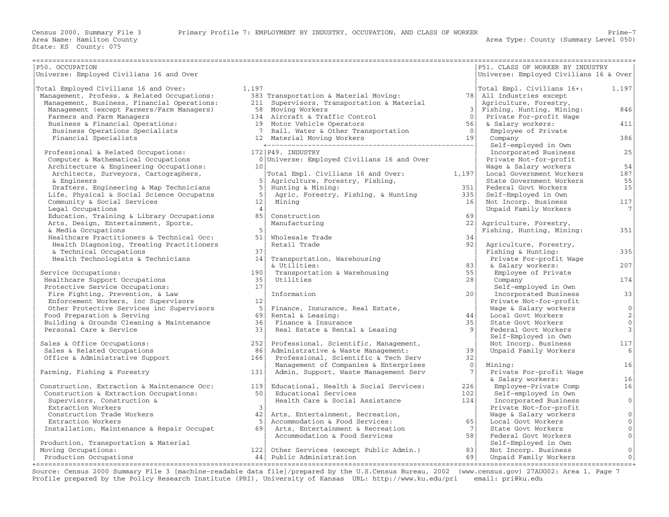| P50. OCCUPATION                                                            |                 |                                                                    |                      | P51. CLASS OF WORKER BY INDUSTRY             |                         |
|----------------------------------------------------------------------------|-----------------|--------------------------------------------------------------------|----------------------|----------------------------------------------|-------------------------|
| Universe: Employed Civilians 16 and Over                                   |                 |                                                                    |                      | Universe: Employed Civilians 16 & Over       |                         |
|                                                                            |                 |                                                                    |                      |                                              |                         |
| Total Employed Civilians 16 and Over:                                      | 1,197           |                                                                    |                      | Total Empl. Civilians 16+:                   | 1,197                   |
| Management, Profess. & Related Occupations:                                |                 | 383 Transportation & Material Moving:                              |                      | 78 All Industries except                     |                         |
| Management, Business, Financial Operations:                                |                 | 211 Supervisors, Transportation & Material                         |                      | Agriculture, Forestry,                       |                         |
| Management (except Farmers/Farm Managers)                                  |                 | 58 Moving Workers                                                  | 3 <br>$\overline{0}$ | Fishing, Hunting, Mining:                    | 846                     |
| Farmers and Farm Managers<br>Business & Financial Operations:              |                 | 134 Aircraft & Traffic Control<br>19 Motor Vehicle Operators       | 56 <sup>1</sup>      | Private For-profit Wage<br>& Salary workers: | 411                     |
|                                                                            |                 |                                                                    | $\bigcirc$           | Employee of Private                          |                         |
| Business Operations Specialists                                            |                 | 7 Rail, Water & Other Transportation<br>12 Material Moving Workers | 19                   | Company                                      | 386                     |
| Financial Specialists                                                      |                 |                                                                    |                      | Self-employed in Own                         |                         |
|                                                                            |                 | 172 P49. INDUSTRY                                                  |                      | Incorporated Business                        | 25                      |
| Professional & Related Occupations:<br>Computer & Mathematical Occupations |                 | 0 Universe: Employed Civilians 16 and Over                         |                      | Private Not-for-profit                       |                         |
| Architecture & Engineering Occupations:                                    | 10 <sup>1</sup> |                                                                    |                      | Wage & Salary workers                        | 54                      |
| Architects, Surveyors, Cartographers,                                      |                 | Total Empl. Civilians 16 and Over:                                 | 1,197                | Local Government Workers                     | 187                     |
| & Engineers                                                                |                 | Agriculture, Forestry, Fishing,                                    |                      | State Government Workers                     | 55                      |
| Drafters, Engineering & Map Technicians                                    | 5               | Hunting & Mining:                                                  | 351                  | Federal Govt Workers                         | 15                      |
| Life, Physical & Social Science Occupatns                                  | 5 <sup>1</sup>  | Agric, Forestry, Fishing, & Hunting                                | 335                  | Self-Employed in Own                         |                         |
| Community & Social Services                                                | 12              | Mining                                                             | 16                   | Not Incorp. Business                         | 117                     |
| Legal Occupations                                                          | $\overline{4}$  |                                                                    |                      | Unpaid Family Workers                        | 7                       |
| Education, Training & Library Occupations                                  | 85 <sup>1</sup> | Construction                                                       | 69                   |                                              |                         |
| Arts, Design, Entertainment, Sports,                                       |                 | Manufacturing                                                      | 22                   | Agriculture, Forestry,                       |                         |
| & Media Occupations                                                        | 5               |                                                                    |                      | Fishing, Hunting, Mining:                    | 351                     |
| Healthcare Practitioners & Technical Occ:                                  | 51 <sup>1</sup> | Wholesale Trade                                                    | 34                   |                                              |                         |
| Health Diagnosing, Treating Practitioners                                  |                 | Retail Trade                                                       | 92                   | Agriculture, Forestry,                       |                         |
| & Technical Occupations                                                    | 37              |                                                                    |                      | Fishing & Hunting:                           | 335                     |
| Health Technologists & Technicians                                         | 14              | Transportation, Warehousing                                        |                      | Private For-profit Wage                      |                         |
|                                                                            |                 | & Utilities:                                                       | 83                   | & Salary workers:                            | 207                     |
| Service Occupations:                                                       | 1901            | Transportation & Warehousing                                       | 55                   | Employee of Private                          |                         |
| Healthcare Support Occupations                                             | 35              | Utilities                                                          | 28                   | Company                                      | 174                     |
| Protective Service Occupations:                                            | 17              |                                                                    |                      | Self-employed in Own                         |                         |
| Fire Fighting, Prevention, & Law                                           |                 | Information                                                        | 201                  | Incorporated Business                        | 33                      |
| Enforcement Workers, inc Supervisors                                       | 12              |                                                                    |                      | Private Not-for-profit                       |                         |
| Other Protective Services inc Supervisors                                  | 5               | Finance, Insurance, Real Estate,                                   |                      | Wage & Salary workers                        | $\circ$                 |
| Food Preparation & Serving                                                 | 69              | Rental & Leasing:                                                  | 44                   | Local Govt Workers                           | $\sqrt{2}$              |
| Building & Grounds Cleaning & Maintenance                                  | 361             | Finance & Insurance                                                | 35                   | State Govt Workers                           | $\mathbb O$             |
| Personal Care & Service                                                    | 331             | Real Estate & Rental & Leasing                                     | $\vert$ 9            | Federal Govt Workers                         | $\overline{\mathbf{3}}$ |
|                                                                            |                 |                                                                    |                      | Self-Employed in Own                         |                         |
| Sales & Office Occupations:                                                | 252             | Professional, Scientific, Management,                              |                      | Not Incorp. Business                         | 117                     |
| Sales & Related Occupations                                                | 86              | Administrative & Waste Management:                                 | 39                   | Unpaid Family Workers                        | 6 <sup>1</sup>          |
| Office & Administrative Support                                            | 166             | Professional, Scientific & Tech Serv                               | 32                   |                                              |                         |
|                                                                            |                 | Management of Companies & Enterprises                              | $\circ$              | Mining:                                      | 16                      |
| Farming, Fishing & Forestry                                                | 131             | Admin, Support, Waste Management Serv                              | 7 <sup>1</sup>       | Private For-profit Wage                      |                         |
|                                                                            |                 |                                                                    |                      | & Salary workers:                            | 16                      |
| Construction, Extraction & Maintenance Occ:                                | 119             | Educational, Health & Social Services:                             | 226                  | Employee-Private Comp                        | 16                      |
| Construction & Extraction Occupations:                                     | 50              | Educational Services                                               | 102                  | Self-employed in Own                         |                         |
| Supervisors, Construction &                                                |                 | Health Care & Social Assistance                                    | 124                  | Incorporated Business                        | $\mathbf 0$             |
| Extraction Workers                                                         | $\mathcal{E}$   |                                                                    |                      | Private Not-for-profit                       |                         |
| Construction Trade Workers                                                 | 42 <sub>1</sub> | Arts, Entertainment, Recreation,                                   |                      | Wage & Salary workers                        | $\mathsf{O}\xspace$     |
| Extraction Workers                                                         | -5              | Accommodation & Food Services:                                     | 65                   | Local Govt Workers                           | $\mathbf 0$             |
| Installation, Maintenance & Repair Occupat                                 | 69              | Arts, Entertainment & Recreation                                   | 7 <sup>1</sup>       | State Govt Workers                           | $\circ$                 |
|                                                                            |                 | Accommodation & Food Services                                      | 581                  | Federal Govt Workers                         | $\circ$                 |
| Production, Transportation & Material                                      |                 |                                                                    |                      | Self-Employed in Own                         |                         |
| Moving Occupations:                                                        |                 | 122 Other Services (except Public Admin.)                          | 83                   | Not Incorp. Business                         | $\mathbf 0$             |
| Production Occupations                                                     |                 | 44 Public Administration                                           | 69                   | Unpaid Family Workers                        | $\circ$                 |
|                                                                            |                 |                                                                    |                      |                                              |                         |

+===================================================================================================================================================+ Source: Census 2000 Summary File 3 [machine−readable data file]/prepared by the U.S.Census Bureau, 2002 (www.census.gov) 27AUG02: Area 1, Page 7 Profile prepared by the Policy Research Institute (PRI), University of Kansas URL: http://www.ku.edu/pri email: pri@ku.edu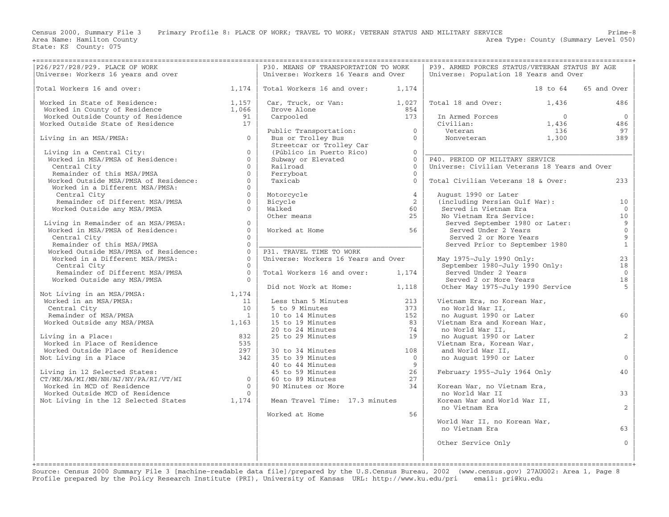Census 2000, Summary File 3 Primary Profile 8: PLACE OF WORK; TRAVEL TO WORK; VETERAN STATUS AND MILITARY SERVICE Prime−8<br>Area Name: Hamilton County

Area Type: County (Summary Level 050)

| P26/P27/P28/P29. PLACE OF WORK                                                                                                                                  |                                           | P30. MEANS OF TRANSPORTATION TO WORK                                                               |                | P39. ARMED FORCES STATUS/VETERAN STATUS BY AGE |                |                     |
|-----------------------------------------------------------------------------------------------------------------------------------------------------------------|-------------------------------------------|----------------------------------------------------------------------------------------------------|----------------|------------------------------------------------|----------------|---------------------|
| Universe: Workers 16 years and over                                                                                                                             |                                           | Universe: Workers 16 Years and Over                                                                |                | Universe: Population 18 Years and Over         |                |                     |
|                                                                                                                                                                 |                                           |                                                                                                    |                |                                                |                |                     |
| 1,174<br>Total Workers 16 and over:                                                                                                                             |                                           | Total Workers 16 and over:                                                                         | 1,174          |                                                | 18 to 64       | 65 and Over         |
|                                                                                                                                                                 |                                           |                                                                                                    |                |                                                |                |                     |
| Worked in State of Residence: $1,157$<br>Worked in County of Residence $1,066$<br>Worked Outside County of Residence 91<br>Worked Outside State of Residence 17 |                                           | Car, Truck, or Van: $1,027$                                                                        |                | Total 18 and Over:                             | 1,436          | 486                 |
|                                                                                                                                                                 |                                           | Drove Alone                                                                                        | 854            |                                                |                |                     |
|                                                                                                                                                                 |                                           | Carpooled                                                                                          | 173            | In Armed Forces                                | $\overline{0}$ | $\overline{0}$      |
|                                                                                                                                                                 |                                           |                                                                                                    |                | Civilian:                                      | 1,436          | 486<br>97           |
|                                                                                                                                                                 | $\Omega$                                  | Public Transportation: 0                                                                           | $\Omega$       | Veteran                                        | 136            | 389                 |
| Living in an MSA/PMSA:                                                                                                                                          |                                           | Bus or Trolley Bus<br>Streetcar or Trolley Car                                                     |                | Nonveteran 1,300                               |                |                     |
| Living in a Central City:                                                                                                                                       | $\Omega$                                  | (Público in Puerto Rico)                                                                           | $\Omega$       |                                                |                |                     |
| Living in a Central City:<br>Worked in MSA/PMSA of Residence:                                                                                                   | $\Omega$                                  | Subway or Elevated                                                                                 | $\Omega$       | P40. PERIOD OF MILITARY SERVICE                |                |                     |
| Central City                                                                                                                                                    | $\Omega$                                  | Railroad                                                                                           | $\overline{0}$ | Universe: Civilian Veterans 18 Years and Over  |                |                     |
| Remainder of this MSA/PMSA                                                                                                                                      | $\Omega$                                  | Ferryboat                                                                                          | $\Omega$       |                                                |                |                     |
| Worked Outside MSA/PMSA of Residence:                                                                                                                           | $\Omega$                                  | Taxicab                                                                                            | $\Omega$       | Total Civilian Veterans 18 & Over:             |                | 233                 |
| Worked in a Different MSA/PMSA:                                                                                                                                 | $\Omega$                                  |                                                                                                    |                |                                                |                |                     |
| Central City                                                                                                                                                    | $\Omega$                                  | Motorcycle                                                                                         | $\overline{4}$ | August 1990 or Later                           |                |                     |
| Remainder of Different MSA/PMSA                                                                                                                                 | $\Omega$                                  | Bicycle                                                                                            | 2              | (including Persian Gulf War):                  |                | 10                  |
| Worked Outside any MSA/PMSA                                                                                                                                     | $\Omega$                                  | Walked                                                                                             | 60             | Served in Vietnam Era                          |                | $\Omega$            |
|                                                                                                                                                                 |                                           | Other means                                                                                        | 25             | No Vietnam Era Service:                        |                | 10                  |
| Living in Remainder of an MSA/PMSA:                                                                                                                             | $\Omega$                                  |                                                                                                    |                | Served September 1980 or Later:                |                | $\overline{9}$      |
| Worked in MSA/PMSA of Residence:                                                                                                                                | $\Omega$                                  | Worked at Home                                                                                     | 56             | Served Under 2 Years                           |                | $\mathsf{O}\xspace$ |
| Central City                                                                                                                                                    | $\Omega$                                  |                                                                                                    |                | Served 2 or More Years                         |                | $\overline{9}$      |
| Remainder of this MSA/PMSA                                                                                                                                      | $\Omega$                                  |                                                                                                    |                | Served Prior to September 1980                 |                | $\mathbf{1}$        |
| Worked Outside MSA/PMSA of Residence:                                                                                                                           | $\Omega$                                  | P31. TRAVEL TIME TO WORK                                                                           |                |                                                |                |                     |
| Worked in a Different MSA/PMSA:                                                                                                                                 | $\overline{0}$                            | Universe: Workers 16 Years and Over                                                                |                | May 1975-July 1990 Only:                       |                | 23                  |
| Central City                                                                                                                                                    | $\cap$                                    |                                                                                                    |                | September 1980-July 1990 Only:                 |                | 18                  |
| Remainder of Different MSA/PMSA                                                                                                                                 | $\Omega$                                  | Total Workers 16 and over: 1,174                                                                   |                | Served Under 2 Years                           |                | $\overline{0}$      |
| Worked Outside any MSA/PMSA                                                                                                                                     | $\Omega$                                  |                                                                                                    |                | Served 2 or More Years                         |                | 18                  |
|                                                                                                                                                                 |                                           | Did not Work at Home: 1,118                                                                        |                | Other May 1975-July 1990 Service               |                | $\overline{5}$      |
|                                                                                                                                                                 |                                           |                                                                                                    |                |                                                |                |                     |
| Not Living in an MSA/PMSA: 1,174<br>Worked in an MSA/PMSA: 1,174<br>Central City                                                                                | 11                                        | Less than 5 Minutes                                                                                | 213            | Vietnam Era, no Korean War,                    |                |                     |
| Central City                                                                                                                                                    | 10                                        | 5 to 9 Minutes                                                                                     | 373            | no World War II,                               |                |                     |
|                                                                                                                                                                 |                                           | 10 to 14 Minutes                                                                                   | 152            | no August 1990 or Later                        |                | 60                  |
| Expansion of MSA/PMSA<br>Worked Outside any MSA/PMSA 1,163                                                                                                      |                                           | 15 to 19 Minutes                                                                                   | 83             | Vietnam Era and Korean War,                    |                |                     |
|                                                                                                                                                                 |                                           | 15 to 19 Minutes<br>20 to 24 Minutes<br>25 to 29 Minutes                                           | 74             | no World War II,                               |                |                     |
| Living in a Place:                                                                                                                                              |                                           |                                                                                                    | 19             | no August 1990 or Later                        |                | 2                   |
| Living in a Place:<br>Worked in Place of Residence (1935)<br>Worked Outside Place of Residence (297)                                                            |                                           |                                                                                                    |                | Vietnam Era, Korean War,                       |                |                     |
|                                                                                                                                                                 |                                           | 30 to 34 Minutes                                                                                   | 108            | and World War II,                              |                |                     |
| Not Living in a Place                                                                                                                                           | 342                                       | 35 to 39 Minutes                                                                                   | $\overline{0}$ | no August 1990 or Later                        |                | $\Omega$            |
|                                                                                                                                                                 |                                           |                                                                                                    | 9              |                                                |                |                     |
| Living in 12 Selected States:<br>CT/ME/MA/MI/MN/NH/NJ/NY/PA/RI/VT/WI 0                                                                                          |                                           |                                                                                                    | 26             | February 1955-July 1964 Only                   |                | 40                  |
|                                                                                                                                                                 |                                           | 60 to 89 Minutes                                                                                   | 27             |                                                |                |                     |
| Worked in MCD of Residence                                                                                                                                      | $\overline{0}$                            | 35 to 39 Minutes<br>40 to 44 Minutes<br>45 to 59 Minutes<br>60 to 89 Minutes<br>90 Minutes or More | 34             | Korean War, no Vietnam Era,                    |                |                     |
| Worked Outside MCD of Residence                                                                                                                                 |                                           |                                                                                                    |                | no World War II                                |                | 33                  |
| Not Living in the 12 Selected States                                                                                                                            | $\begin{array}{c} 0 \\ 1,174 \end{array}$ | Mean Travel Time: 17.3 minutes                                                                     |                | Korean War and World War II,                   |                |                     |
|                                                                                                                                                                 |                                           |                                                                                                    |                | no Vietnam Era                                 |                | $\overline{2}$      |
|                                                                                                                                                                 |                                           | Worked at Home                                                                                     | 56             |                                                |                |                     |
|                                                                                                                                                                 |                                           |                                                                                                    |                | World War II, no Korean War,                   |                |                     |
|                                                                                                                                                                 |                                           |                                                                                                    |                | no Vietnam Era                                 |                | 63                  |
|                                                                                                                                                                 |                                           |                                                                                                    |                |                                                |                |                     |
|                                                                                                                                                                 |                                           |                                                                                                    |                | Other Service Only                             |                | $\mathbf{0}$        |
|                                                                                                                                                                 |                                           |                                                                                                    |                |                                                |                |                     |
|                                                                                                                                                                 |                                           |                                                                                                    |                |                                                |                |                     |

+===================================================================================================================================================+ Source: Census 2000 Summary File 3 [machine−readable data file]/prepared by the U.S.Census Bureau, 2002 (www.census.gov) 27AUG02: Area 1, Page 8 Profile prepared by the Policy Research Institute (PRI), University of Kansas URL: http://www.ku.edu/pri email: pri@ku.edu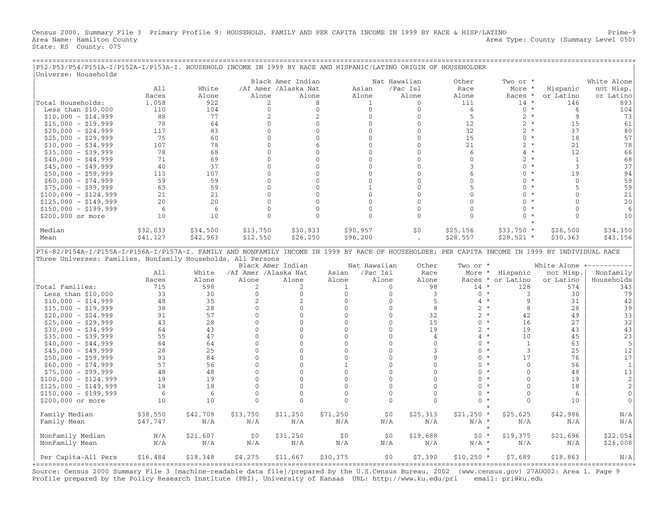Census 2000, Summary File 3 Primary Profile 9: HOUSEHOLD, FAMILY AND PER CAPITA INCOME IN 1999 BY RACE & HISP/LATINO Prime−9 Area Name: Hamilton County 2012 12:00 Area Type: County (Summary Level 050) State: KS County: 075

| P52/P53/P54/P151A-I/P152A-I/P153A-I. HOUSEHOLD INCOME IN 1999 BY RACE AND HISPANIC/LATINO ORIGIN OF HOUSEHOLDER<br>Universe: Households          |          |          |                      |                      |              |              |              |                          |                           |                |                |
|--------------------------------------------------------------------------------------------------------------------------------------------------|----------|----------|----------------------|----------------------|--------------|--------------|--------------|--------------------------|---------------------------|----------------|----------------|
|                                                                                                                                                  |          |          |                      | Black Amer Indian    |              |              | Nat Hawaiian | Other                    | Two or *                  |                | White Alone    |
|                                                                                                                                                  | A11      | White    |                      | /Af Amer /Alaska Nat |              | Asian        | /Pac Isl     | Race                     | More *                    | Hispanic       | not Hisp.      |
|                                                                                                                                                  | Races    | Alone    | Alone                | Alone                |              | Alone        | Alone        | Alone                    | Races *                   | or Latino      | or Latino      |
|                                                                                                                                                  |          |          |                      |                      |              |              |              |                          |                           |                |                |
| Total Households:                                                                                                                                | 1,058    | 922      | 2                    | 8                    |              | $\mathbf{1}$ | $\mathbf{0}$ | 111                      | $14 *$                    | 146            | 893            |
| Less than $$10,000$                                                                                                                              | 110      | 104      | $\mathbf{0}$         | $\mathbf 0$          |              | $\mathbf{0}$ | $\mathbf{0}$ | 6                        | $0 *$                     | 6              | 104            |
| $$10,000 - $14,999$                                                                                                                              | 88       | 77       | 2                    | $\overline{c}$       |              | $\Omega$     | $\Omega$     | $\overline{5}$           | $2 *$                     | 9              | 73             |
| $$15,000 - $19,999$                                                                                                                              | 78       | 64       | $\mathbf{0}$         | $\mathbf 0$          |              | $\mathbf{0}$ | $\mathbf{0}$ | 12                       | $2 *$                     | 15             | 61             |
| $$20,000 - $24,999$                                                                                                                              | 117      | 83       | $\mathbf{0}$         | $\Omega$             |              | $\mathbf{0}$ | $\Omega$     | 32                       | $2 *$                     | 37             | 80             |
| $$25,000 - $29,999$                                                                                                                              | 75       | 60       | $\Omega$             | $\Omega$             |              | $\Omega$     | $\cap$       | 15                       | $\mathbf{0}$<br>$\star$   | 18             | 57             |
| $$30,000 - $34,999$                                                                                                                              | 107      | 78       | $\mathbf{0}$         | 6                    |              | $\mathbf{0}$ | $\mathbf{0}$ | 21                       | $2^{\circ}$<br>$\star$    | 21             | 78             |
| $$35,000 - $39,999$                                                                                                                              | 78       | 68       | $\Omega$             | $\Omega$             |              | $\Omega$     | $\Omega$     | 6                        | $4 *$                     | 12             | 66             |
| $$40,000 - $44,999$                                                                                                                              | 71       | 69       | $\Omega$             | $\Omega$             |              | $\Omega$     | $\Omega$     | $\Omega$                 | $\overline{2}$<br>$\star$ | $\mathbf{1}$   | 68             |
| $$45,000 - $49,999$                                                                                                                              | 40       | 37       | $\Omega$             | $\Omega$             |              | $\Omega$     | $\mathbf{0}$ | 3                        | $\Omega$<br>$\star$       | 3              | 37             |
| $$50,000 - $59,999$                                                                                                                              | 113      | 107      | $\mathbf{0}$         | $\mathbf{0}$         |              | $\mathbf{0}$ | $\mathbf{0}$ | 6                        | $0 *$                     | 19             | 94             |
| $$60,000 - $74,999$                                                                                                                              | 59       | 59       | $\mathbf{0}$         | $\Omega$             |              | $\Omega$     | $\Omega$     | $\mathbf{0}$             | $\Omega$<br>$\star$       | $\mathbf{0}$   | 59             |
| $$75,000 - $99,999$                                                                                                                              | 65       | 59       | $\Omega$             | $\Omega$             |              | $\mathbf{1}$ | $\Omega$     | 5                        | $\star$<br>$\Omega$       | $\overline{5}$ | 59             |
| $$100,000 - $124,999$                                                                                                                            | 21       | 21       | $\Omega$             | $\Omega$             |              | $\mathbf{0}$ | $\mathbf{0}$ | $\mathbf{0}$             | $\Omega$<br>$\star$       | $\Omega$       | 21             |
| $$125,000 - $149,999$                                                                                                                            | 20       | 20       | $\Omega$             | $\mathbf{0}$         |              | $\mathbf{0}$ | $\mathbf{0}$ | $\Omega$                 | $\Omega$                  | $\Omega$       | 20             |
| $$150,000 - $199,999$                                                                                                                            | 6        | 6        | $\mathbf{0}$         | $\mathbf{0}$         |              | $\mathbf{0}$ | $\Omega$     | $\mathbf{0}$             | $\Omega$<br>$\star$       | $\Omega$       | 6              |
| \$200,000 or more                                                                                                                                | 10       | 10       | $\Omega$             | $\Omega$             |              | $\Omega$     | $\Omega$     | $\Omega$                 | $\star$<br>$\Omega$       | $\Omega$       | 10             |
|                                                                                                                                                  |          |          |                      |                      |              |              |              |                          |                           |                |                |
|                                                                                                                                                  |          |          |                      |                      |              |              |              |                          |                           |                |                |
| Median                                                                                                                                           | \$32,033 | \$34,500 | \$13,750             | \$30,833             |              | \$90,957     | \$0          | \$25,156                 | $$33,750*$                | \$26,500       | \$34,350       |
| Mean                                                                                                                                             | \$41,127 | \$42,963 | \$12,550             | \$26, 250            |              | \$96,200     |              | \$28,557                 | $$28,521$ *               | \$30,363       | \$43,156       |
|                                                                                                                                                  |          |          |                      |                      |              |              |              |                          |                           |                |                |
| P76-82/P154A-I/P155A-I/P156A-I/P157A-I. FAMILY AND NONFAMILY INCOME IN 1999 BY RACE OF HOUSEHOLDER; PER CAPITA INCOME IN 1999 BY INDIVIDUAL RACE |          |          |                      |                      |              |              |              |                          |                           |                |                |
| Three Universes: Families, Nonfamily Households, All Persons                                                                                     |          |          |                      |                      |              |              |              |                          |                           |                |                |
|                                                                                                                                                  |          |          |                      | Black Amer Indian    |              | Nat Hawaiian | Other        | Two or *                 |                           | White Alone    |                |
|                                                                                                                                                  | A11      | White    | /Af Amer /Alaska Nat |                      | Asian        | /Pac Isl     | Race         | More                     | $\star$<br>Hispanic       | not Hisp.      | Nonfamily      |
|                                                                                                                                                  | Races    | Alone    | Alone                | Alone                | Alone        | Alone        | Alone        | Races *                  | or Latino                 | or Latino      | Households     |
| Total Families:                                                                                                                                  | 715      | 598      | 2                    | 2                    | $\mathbf{1}$ | $\circ$      | 98           | $14$ *                   | 128                       | 574            | 343            |
| Less than $$10,000$                                                                                                                              | 33       | 30       | $\Omega$             | $\Omega$             | $\Omega$     | $\Omega$     | 3            | $0 *$                    | 3                         | 30             | 79             |
| $$10,000 - $14,999$                                                                                                                              | 48       | 35       | 2                    | 2                    | $\mathbf{0}$ | $\mathbf{0}$ | 5            | $4 *$                    | 9                         | 31             | 42             |
| $$15,000 - $19,999$                                                                                                                              | 38       | 28       | $\Omega$             | $\mathbf{0}$         | $\Omega$     | $\mathbf{0}$ | 8            | $2 *$                    | 8                         | 28             | 39             |
| $$20,000 - $24,999$                                                                                                                              | 91       | 57       | $\mathbf{0}$         | $\mathbf{0}$         | $\mathbf{0}$ | $\mathbf 0$  | 32           | $2 *$                    | 42                        | 49             | 33             |
| $$25,000 - $29,999$                                                                                                                              | 43       | 28       | $\Omega$             | $\Omega$             | $\Omega$     | $\mathbf{0}$ | 15           | $\mathbf{0}$<br>$\star$  | 16                        | 27             | 32             |
| $$30,000 - $34,999$                                                                                                                              | 64       | 43       | $\Omega$             | $\Omega$             | $\Omega$     | $\Omega$     | 19           | $2 *$                    | 19                        | 43             | 43             |
| $$35,000 - $39,999$                                                                                                                              | 55       | 47       | $\mathbf{0}$         | $\Omega$             | $\mathbf{0}$ | 0            | 4            | $\star$<br>4             | 10                        | 45             | 23             |
| $$40,000 - $44,999$                                                                                                                              | 64       | 64       | $\Omega$             | $\Omega$             | $\Omega$     | $\mathbf{0}$ | $\Omega$     | $\Omega$<br>$^\star$     | 1                         | 63             | 5              |
|                                                                                                                                                  |          | 25       | $\mathbf{0}$         | $\Omega$             | $\mathbf{0}$ | $\mathbf{0}$ | 3            | $\mathbf{0}$<br>$^\star$ | 3                         | 25             | 12             |
| $$45,000 - $49,999$                                                                                                                              | 28       |          | $\Omega$             |                      |              |              |              | $^\star$                 |                           |                |                |
| $$50,000 - $59,999$                                                                                                                              | 93       | 84       |                      | $\Omega$             | $\mathbf{0}$ | 0            | 9            | 0<br>$\star$             | 17                        | 76             | 17             |
| $$60,000 - $74,999$                                                                                                                              | 57       | 56       | $\Omega$             | $\cap$               | $\mathbf{1}$ | $\Omega$     | $\Omega$     | $\Omega$                 | $\Omega$                  | 56             | $\mathbf{1}$   |
| $$75,000 - $99,999$                                                                                                                              | 48       | 48       | $\mathbf{0}$         | $\Omega$             | $\mathbf{0}$ | $\mathbf{0}$ | $\mathbf{0}$ | $\mathbf{0}$<br>$\star$  | $\mathbf{0}$              | 48             | 13             |
| $$100,000 - $124,999$                                                                                                                            | 19       | 19       | $\Omega$             | $\Omega$             | $\Omega$     | $\mathbf{0}$ | $\Omega$     | $\star$<br>$\Omega$      | $\Omega$                  | 19             | $\overline{c}$ |
| $$125,000 - $149,999$                                                                                                                            | 18       | 18       | $\Omega$             | $\cap$               | $\Omega$     | $\cap$       | $\Omega$     | 0<br>$\star$             | $\Omega$                  | 18             | $\overline{2}$ |
| $$150,000 - $199,999$                                                                                                                            | 6        | 6        | $\mathbf{0}$         | $\mathbf{0}$         | $\mathbf{0}$ | $\mathbf{0}$ | $\mathbf{0}$ | $\mathbf{0}$<br>$\star$  | $\mathbf{0}$              | 6              | $\mathbf 0$    |
| \$200,000 or more                                                                                                                                |          |          |                      |                      | $\Omega$     | $\Omega$     | $\Omega$     | $\Omega$<br>$\star$      | $\Omega$                  | 10             | $\Omega$       |
|                                                                                                                                                  | 10       | 10       | $\Omega$             | $\Omega$             |              |              |              |                          |                           |                |                |
|                                                                                                                                                  |          |          |                      |                      |              |              |              | $\star$                  |                           |                |                |
| Family Median                                                                                                                                    | \$38,550 | \$42,708 | \$13,750             | \$11,250             | \$71,250     | \$0          | \$25,313     | $$21,250$ *              | \$25,625                  | \$42,986       | N/A            |
| Family Mean                                                                                                                                      | \$47,747 | N/A      | N/A                  | N/A                  | N/A          | N/A          | N/A          | $N/A$ *                  | N/A                       | N/A            | N/A            |
|                                                                                                                                                  |          |          |                      |                      |              |              |              | $\star$                  |                           |                |                |
| NonFamily Median                                                                                                                                 | N/A      | \$21,607 | \$0                  | \$31,250             | \$0          | \$0          | \$19,688     | $$0 *$                   | \$19,375                  | \$21,696       | \$22,054       |
| NonFamily Mean                                                                                                                                   | N/A      | N/A      | N/A                  | N/A                  | N/A          | N/A          | N/A          | $N/A$ *                  | N/A                       | N/A            | \$26,008       |
|                                                                                                                                                  |          |          |                      |                      |              |              |              |                          |                           |                |                |

+===================================================================================================================================================+ Source: Census 2000 Summary File 3 [machine−readable data file]/prepared by the U.S.Census Bureau, 2002 (www.census.gov) 27AUG02: Area 1, Page 9 Profile prepared by the Policy Research Institute (PRI), University of Kansas URL: http://www.ku.edu/pri email: pri@ku.edu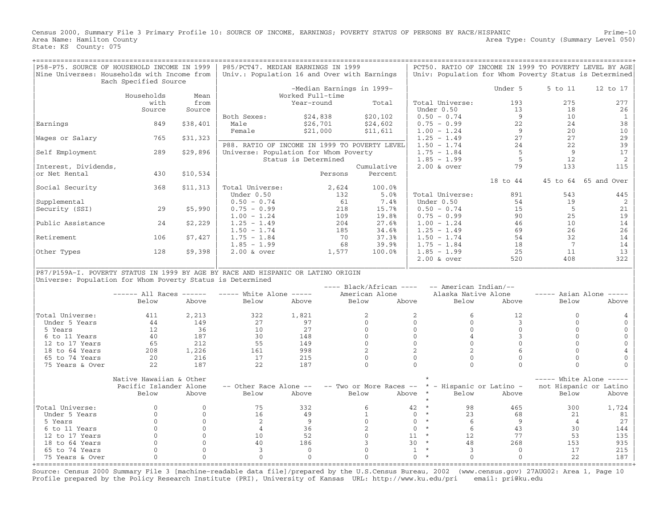Census 2000, Summary File 3 Primary Profile 10: SOURCE OF INCOME, EARNINGS; POVERTY STATUS OF PERSONS BY RACE/HISPANIC Prime-10<br>Area Name: Hamilton County Level 050) Area Type: County (Summary Level 050) State: KS County: 075

| P58-P75. SOURCE OF HOUSEHOLD INCOME IN 1999<br>Nine Universes: Households with Income from | Each Specified Source            |                              | P85/PCT47. MEDIAN EARNINGS IN 1999<br>Univ.: Population 16 and Over with Earnings      |                             |                    |                                  |                                                    |                                                 |                                 |                      | PCT50. RATIO OF INCOME IN 1999 TO POVERTY LEVEL BY AGE<br>Univ: Population for Whom Poverty Status is Determined |
|--------------------------------------------------------------------------------------------|----------------------------------|------------------------------|----------------------------------------------------------------------------------------|-----------------------------|--------------------|----------------------------------|----------------------------------------------------|-------------------------------------------------|---------------------------------|----------------------|------------------------------------------------------------------------------------------------------------------|
|                                                                                            | Households                       | Mean                         |                                                                                        | Worked Full-time            |                    | -Median Earnings in 1999-        |                                                    |                                                 | Under 5                         | 5 to 11              | 12 to 17                                                                                                         |
|                                                                                            | with<br>Source                   | from<br>Source               |                                                                                        | Year-round                  |                    | Total                            |                                                    | Total Universe:<br>Under 0.50                   | 193<br>13                       | 275<br>18            | 277<br>26                                                                                                        |
| Earnings                                                                                   | 849                              | \$38,401                     | Both Sexes:<br>Male                                                                    | \$24,838<br>\$26,701        |                    | \$20, 102<br>\$24,602            |                                                    | $0.50 - 0.74$<br>$0.75 - 0.99$                  | 9<br>22                         | 10<br>24             | $\mathbf{1}$<br>38                                                                                               |
| Wages or Salary                                                                            | 765                              | \$31,323                     | Female                                                                                 | \$21,000                    |                    | \$11,611                         |                                                    | $1.00 - 1.24$<br>$1.25 - 1.49$                  | 9<br>27                         | 20<br>27             | 10<br>29                                                                                                         |
| Self Employment                                                                            | 289                              | \$29,896                     | P88. RATIO OF INCOME IN 1999 TO POVERTY LEVEL<br>Universe: Population for Whom Poverty | Status is Determined        |                    |                                  |                                                    | $1.50 - 1.74$<br>$1.75 - 1.84$<br>$1.85 - 1.99$ | 24<br>5<br>- 5                  | 22<br>9<br>12        | 39<br>17<br>2                                                                                                    |
| Interest, Dividends,<br>or Net Rental                                                      | 430                              | \$10,534                     |                                                                                        |                             |                    | Cumulative                       |                                                    | $2.00$ & over                                   | 79                              | 133                  | 115                                                                                                              |
|                                                                                            |                                  |                              |                                                                                        |                             | Persons            | Percent                          |                                                    |                                                 | 18 to 44                        |                      | 45 to 64 65 and Over                                                                                             |
| Social Security<br>Supplemental                                                            | 368                              | \$11,313                     | Total Universe:<br>Under 0.50<br>$0.50 - 0.74$                                         |                             | 2,624<br>132<br>61 | 100.0%<br>5.0%<br>7.4%           |                                                    | Total Universe:<br>Under 0.50                   | 891<br>54                       | 543<br>19            | 445<br>2                                                                                                         |
| Security (SSI)                                                                             | 29                               | \$5,990                      | $0.75 - 0.99$<br>$1.00 - 1.24$                                                         |                             | 218<br>109         | 15.7%<br>19.8%                   |                                                    | $0.50 - 0.74$<br>$0.75 - 0.99$                  | 15<br>90                        | $\overline{5}$<br>25 | 21<br>19                                                                                                         |
| Public Assistance                                                                          | 24                               | \$2,229                      | $1.25 - 1.49$<br>$1.50 - 1.74$                                                         |                             | 204<br>185         | 27.6%<br>34.6%                   |                                                    | $1.00 - 1.24$<br>$1.25 - 1.49$                  | 46<br>69                        | 10<br>26             | 14<br>26                                                                                                         |
| Retirement                                                                                 | 106                              | \$7,427                      | $1.75 - 1.84$<br>$1.85 - 1.99$                                                         |                             | 70<br>68           | 37.3%<br>39.9%                   |                                                    | $1.50 - 1.74$<br>$1.75 - 1.84$                  | 54<br>18                        | 32<br>$\overline{7}$ | 14<br>14                                                                                                         |
| Other Types                                                                                | 128                              | \$9,398                      | $2.00$ & over                                                                          |                             | 1,577              | 100.0%                           |                                                    | $1.85 - 1.99$<br>$2.00$ & over                  | 25<br>520                       | 11<br>408            | 13<br>322                                                                                                        |
| P87/P159A-I. POVERTY STATUS IN 1999 BY AGE BY RACE AND HISPANIC OR LATINO ORIGIN           |                                  |                              |                                                                                        |                             |                    |                                  |                                                    |                                                 |                                 |                      |                                                                                                                  |
| Universe: Population for Whom Poverty Status is Determined                                 |                                  |                              |                                                                                        |                             |                    | $---$ Black/African $---$        |                                                    | -- American Indian/--                           |                                 |                      |                                                                                                                  |
|                                                                                            | $----$ All Races $----$<br>Below | Above                        | $---$ White Alone $---$<br>Below                                                       | Above                       |                    | American Alone<br>Below          | Above                                              | Alaska Native Alone<br>Below                    | Above                           | Below                | $---$ Asian Alone $---$<br>Above                                                                                 |
| Total Universe:<br>Under 5 Years                                                           | 411<br>44                        | 2,213<br>149                 | 322<br>27                                                                              | 1,821<br>97                 |                    | 2<br>$\Omega$                    | 2<br>$\Omega$                                      | 6<br>$\Omega$                                   | 12<br>$\mathbf{3}$              | $\Omega$<br>$\Omega$ | $\Omega$                                                                                                         |
| 5 Years<br>6 to 11 Years                                                                   | 12<br>40                         | 36<br>187                    | 10<br>30                                                                               | 27<br>148                   |                    | $\mathbf{0}$<br>$\Omega$         | $\mathbf{0}$<br>$\mathbf 0$                        | $\mathbf{0}$<br>$\overline{4}$                  | $\mathbf{0}$<br>3               | $\Omega$<br>$\Omega$ | $\mathbf{0}$<br>$\Omega$                                                                                         |
| 12 to 17 Years<br>18 to 64 Years                                                           | 65<br>208                        | 212<br>1,226                 | 55<br>161                                                                              | 149<br>998                  |                    | $\Omega$<br>$\overline{2}$       | $\Omega$<br>$\overline{2}$                         | $\mathbf{0}$<br>$\overline{c}$                  | $\Omega$<br>6                   | $\Omega$<br>$\cap$   | $\Omega$<br>4                                                                                                    |
| 65 to 74 Years<br>75 Years & Over                                                          | 20<br>22                         | 216<br>187                   | 17<br>22                                                                               | 215<br>187                  |                    | $\mathbf{0}$<br>$\Omega$         | $\mathbf{0}$<br>$\Omega$                           | $\mathbf{0}$<br>$\Omega$                        | $\mathbf{0}$<br>$\Omega$        | $\Omega$<br>$\Omega$ | $\mathbf{0}$<br>$\Omega$                                                                                         |
|                                                                                            | Native Hawaiian & Other          |                              |                                                                                        |                             |                    |                                  |                                                    |                                                 |                                 |                      | $---$ White Alone $---$                                                                                          |
|                                                                                            | Pacific Islander Alone<br>Below  | Above                        | -- Other Race Alone --<br>Below                                                        | Above                       |                    | -- Two or More Races --<br>Below | Above<br>$\star$                                   | * - Hispanic or Latino -<br>Below               | Above                           | Below                | not Hispanic or Latino<br>Above                                                                                  |
| Total Universe:                                                                            | $\Omega$<br>$\Omega$             | $\Omega$<br>$\Omega$         | 75<br>16                                                                               | 332<br>49                   |                    | 6<br>$\mathbf{1}$                | $\star$<br>42<br>$\star$<br>$\mathbf{0}$           | 98<br>23                                        | 465<br>68                       | 300<br>21            | 1,724                                                                                                            |
| Under 5 Years<br>5 Years                                                                   | $\Omega$<br>$\mathbf{0}$         | $\mathbf{0}$<br>$\mathbf{0}$ | 2<br>$\overline{4}$                                                                    | 9                           |                    | $\mathbf{0}$                     | $\star$<br>$\mathbf{0}$<br>$\star$<br>$\mathbf{0}$ | 6                                               | 9                               | $\overline{4}$       | 81<br>27                                                                                                         |
| 6 to 11 Years<br>12 to 17 Years                                                            | $\Omega$<br>$\Omega$             | $\Omega$<br>$\Omega$         | 10<br>40                                                                               | 36<br>52<br>186             |                    | $\overline{c}$<br>$\Omega$<br>3  | $\star$<br>11<br>$\star$<br>30                     | 6<br>12.                                        | 43<br>77                        | 30<br>53<br>153      | 144<br>135<br>935                                                                                                |
| 18 to 64 Years<br>65 to 74 Years<br>75 Years & Over<br>+================                   | $\Omega$<br>$\Omega$             | $\Omega$<br>$\Omega$         | $\overline{3}$<br>$\mathbf{0}$                                                         | $\mathbf 0$<br>$\mathbf{0}$ |                    | $\Omega$<br>$\Omega$             | $\star$<br>1<br>$\Omega$                           | 48<br>3<br>$\Omega$                             | 268<br>$\Omega$<br>$\mathbf{0}$ | 17<br>22             | 215<br>187                                                                                                       |

Source: Census 2000 Summary File 3 [machine−readable data file]/prepared by the U.S.Census Bureau, 2002 (www.census.gov) 27AUG02: Area 1, Page 10 Profile prepared by the Policy Research Institute (PRI), University of Kansas URL: http://www.ku.edu/pri email: pri@ku.edu